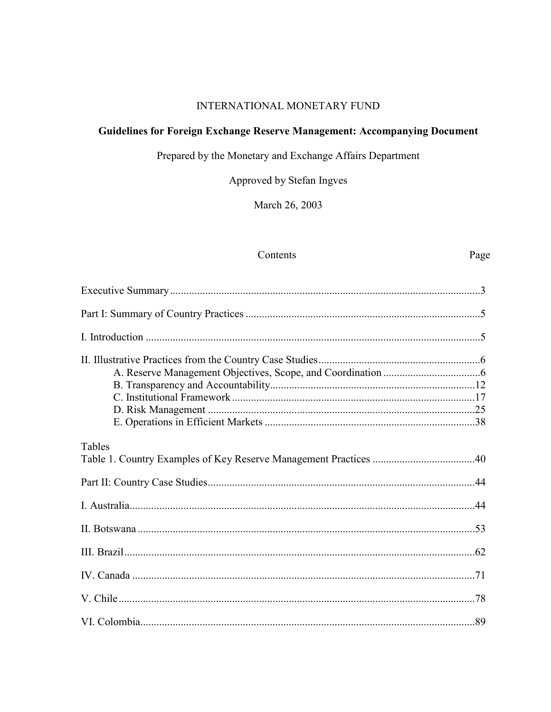## **INTERNATIONAL MONETARY FUND**

# Guidelines for Foreign Exchange Reserve Management: Accompanying Document

Prepared by the Monetary and Exchange Affairs Department

Approved by Stefan Ingves

March 26, 2003

#### Contents

# Page

| Tables |     |
|--------|-----|
|        |     |
|        |     |
|        |     |
|        |     |
|        |     |
|        |     |
|        | .89 |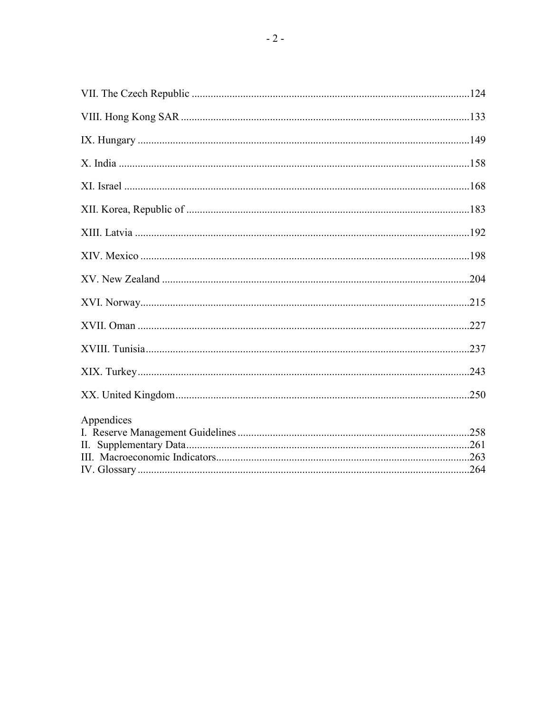| Appendices |  |
|------------|--|
|            |  |
|            |  |
|            |  |
|            |  |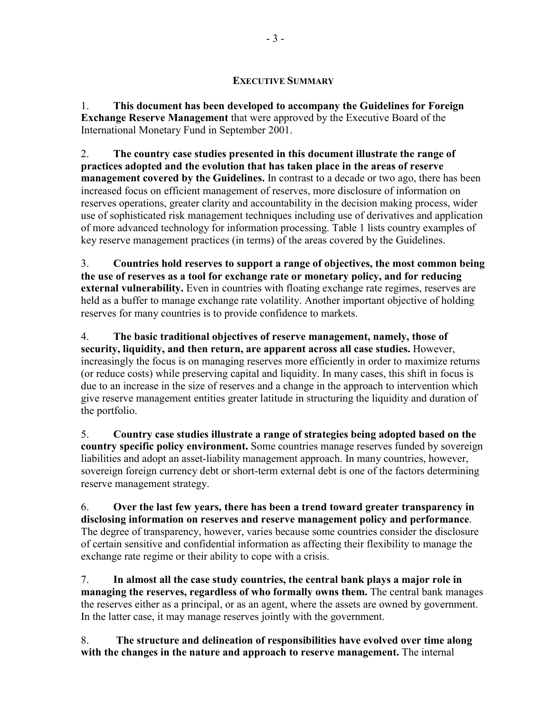#### **EXECUTIVE SUMMARY**

1. **This document has been developed to accompany the Guidelines for Foreign Exchange Reserve Management** that were approved by the Executive Board of the International Monetary Fund in September 2001.

2. **The country case studies presented in this document illustrate the range of practices adopted and the evolution that has taken place in the areas of reserve management covered by the Guidelines.** In contrast to a decade or two ago, there has been increased focus on efficient management of reserves, more disclosure of information on reserves operations, greater clarity and accountability in the decision making process, wider use of sophisticated risk management techniques including use of derivatives and application of more advanced technology for information processing. Table 1 lists country examples of key reserve management practices (in terms) of the areas covered by the Guidelines.

3. **Countries hold reserves to support a range of objectives, the most common being the use of reserves as a tool for exchange rate or monetary policy, and for reducing external vulnerability.** Even in countries with floating exchange rate regimes, reserves are held as a buffer to manage exchange rate volatility. Another important objective of holding reserves for many countries is to provide confidence to markets.

4. **The basic traditional objectives of reserve management, namely, those of security, liquidity, and then return, are apparent across all case studies.** However, increasingly the focus is on managing reserves more efficiently in order to maximize returns (or reduce costs) while preserving capital and liquidity. In many cases, this shift in focus is due to an increase in the size of reserves and a change in the approach to intervention which give reserve management entities greater latitude in structuring the liquidity and duration of the portfolio.

5. **Country case studies illustrate a range of strategies being adopted based on the country specific policy environment.** Some countries manage reserves funded by sovereign liabilities and adopt an asset-liability management approach. In many countries, however, sovereign foreign currency debt or short-term external debt is one of the factors determining reserve management strategy.

6. **Over the last few years, there has been a trend toward greater transparency in disclosing information on reserves and reserve management policy and performance**. The degree of transparency, however, varies because some countries consider the disclosure of certain sensitive and confidential information as affecting their flexibility to manage the exchange rate regime or their ability to cope with a crisis.

7. **In almost all the case study countries, the central bank plays a major role in managing the reserves, regardless of who formally owns them.** The central bank manages the reserves either as a principal, or as an agent, where the assets are owned by government. In the latter case, it may manage reserves jointly with the government.

8. **The structure and delineation of responsibilities have evolved over time along with the changes in the nature and approach to reserve management.** The internal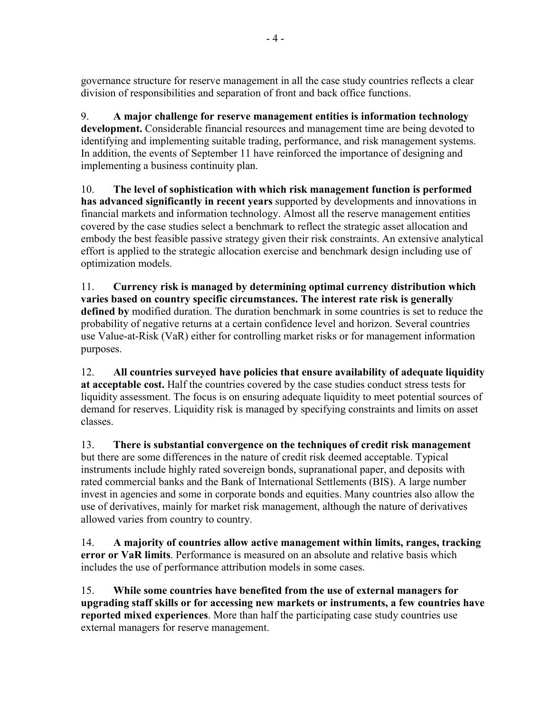governance structure for reserve management in all the case study countries reflects a clear division of responsibilities and separation of front and back office functions.

9. **A major challenge for reserve management entities is information technology development.** Considerable financial resources and management time are being devoted to identifying and implementing suitable trading, performance, and risk management systems. In addition, the events of September 11 have reinforced the importance of designing and implementing a business continuity plan.

10. **The level of sophistication with which risk management function is performed has advanced significantly in recent years** supported by developments and innovations in financial markets and information technology. Almost all the reserve management entities covered by the case studies select a benchmark to reflect the strategic asset allocation and embody the best feasible passive strategy given their risk constraints. An extensive analytical effort is applied to the strategic allocation exercise and benchmark design including use of optimization models.

11. **Currency risk is managed by determining optimal currency distribution which varies based on country specific circumstances. The interest rate risk is generally defined by** modified duration. The duration benchmark in some countries is set to reduce the probability of negative returns at a certain confidence level and horizon. Several countries use Value-at-Risk (VaR) either for controlling market risks or for management information purposes.

12. **All countries surveyed have policies that ensure availability of adequate liquidity at acceptable cost.** Half the countries covered by the case studies conduct stress tests for liquidity assessment. The focus is on ensuring adequate liquidity to meet potential sources of demand for reserves. Liquidity risk is managed by specifying constraints and limits on asset classes.

13. **There is substantial convergence on the techniques of credit risk management**  but there are some differences in the nature of credit risk deemed acceptable. Typical instruments include highly rated sovereign bonds, supranational paper, and deposits with rated commercial banks and the Bank of International Settlements (BIS). A large number invest in agencies and some in corporate bonds and equities. Many countries also allow the use of derivatives, mainly for market risk management, although the nature of derivatives allowed varies from country to country.

14. **A majority of countries allow active management within limits, ranges, tracking error or VaR limits**. Performance is measured on an absolute and relative basis which includes the use of performance attribution models in some cases.

15. **While some countries have benefited from the use of external managers for upgrading staff skills or for accessing new markets or instruments, a few countries have reported mixed experiences**. More than half the participating case study countries use external managers for reserve management.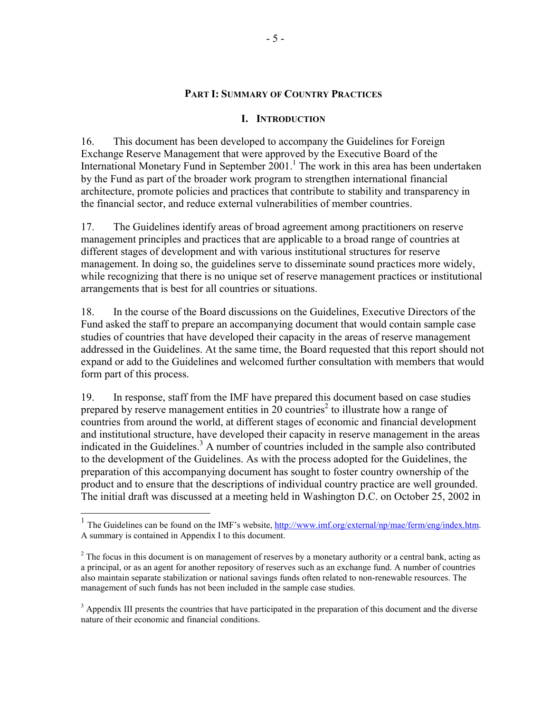#### **PART I: SUMMARY OF COUNTRY PRACTICES**

#### **I. INTRODUCTION**

16. This document has been developed to accompany the Guidelines for Foreign Exchange Reserve Management that were approved by the Executive Board of the International Monetary Fund in September  $2001$ .<sup>1</sup> The work in this area has been undertaken by the Fund as part of the broader work program to strengthen international financial architecture, promote policies and practices that contribute to stability and transparency in the financial sector, and reduce external vulnerabilities of member countries.

17. The Guidelines identify areas of broad agreement among practitioners on reserve management principles and practices that are applicable to a broad range of countries at different stages of development and with various institutional structures for reserve management. In doing so, the guidelines serve to disseminate sound practices more widely, while recognizing that there is no unique set of reserve management practices or institutional arrangements that is best for all countries or situations.

18. In the course of the Board discussions on the Guidelines, Executive Directors of the Fund asked the staff to prepare an accompanying document that would contain sample case studies of countries that have developed their capacity in the areas of reserve management addressed in the Guidelines. At the same time, the Board requested that this report should not expand or add to the Guidelines and welcomed further consultation with members that would form part of this process.

19. In response, staff from the IMF have prepared this document based on case studies prepared by reserve management entities in  $20$  countries<sup>2</sup> to illustrate how a range of countries from around the world, at different stages of economic and financial development and institutional structure, have developed their capacity in reserve management in the areas indicated in the Guidelines.<sup>3</sup> A number of countries included in the sample also contributed to the development of the Guidelines. As with the process adopted for the Guidelines, the preparation of this accompanying document has sought to foster country ownership of the product and to ensure that the descriptions of individual country practice are well grounded. The initial draft was discussed at a meeting held in Washington D.C. on October 25, 2002 in

 $\overline{\phantom{a}}$ 

<sup>&</sup>lt;sup>1</sup> The Guidelines can be found on the IMF's website,  $\frac{http://www.imf.org/external/np/mae/ferm/eng/index.htm.$ A summary is contained in Appendix I to this document.

 $2<sup>2</sup>$  The focus in this document is on management of reserves by a monetary authority or a central bank, acting as a principal, or as an agent for another repository of reserves such as an exchange fund. A number of countries also maintain separate stabilization or national savings funds often related to non-renewable resources. The management of such funds has not been included in the sample case studies.

 $3$  Appendix III presents the countries that have participated in the preparation of this document and the diverse nature of their economic and financial conditions.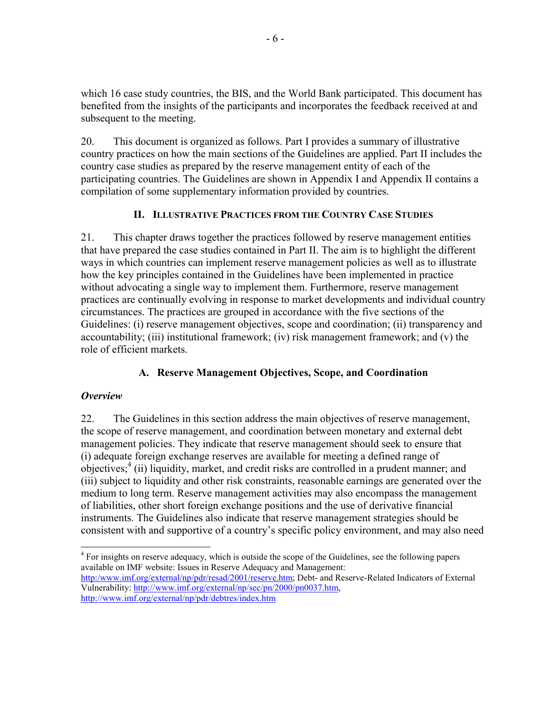which 16 case study countries, the BIS, and the World Bank participated. This document has benefited from the insights of the participants and incorporates the feedback received at and subsequent to the meeting.

20. This document is organized as follows. Part I provides a summary of illustrative country practices on how the main sections of the Guidelines are applied. Part II includes the country case studies as prepared by the reserve management entity of each of the participating countries. The Guidelines are shown in Appendix I and Appendix II contains a compilation of some supplementary information provided by countries.

# **II. ILLUSTRATIVE PRACTICES FROM THE COUNTRY CASE STUDIES**

21. This chapter draws together the practices followed by reserve management entities that have prepared the case studies contained in Part II. The aim is to highlight the different ways in which countries can implement reserve management policies as well as to illustrate how the key principles contained in the Guidelines have been implemented in practice without advocating a single way to implement them. Furthermore, reserve management practices are continually evolving in response to market developments and individual country circumstances. The practices are grouped in accordance with the five sections of the Guidelines: (i) reserve management objectives, scope and coordination; (ii) transparency and accountability; (iii) institutional framework; (iv) risk management framework; and (v) the role of efficient markets.

# **A. Reserve Management Objectives, Scope, and Coordination**

# *Overview*

22. The Guidelines in this section address the main objectives of reserve management, the scope of reserve management, and coordination between monetary and external debt management policies. They indicate that reserve management should seek to ensure that (i) adequate foreign exchange reserves are available for meeting a defined range of objectives;<sup>4</sup> (ii) liquidity, market, and credit risks are controlled in a prudent manner; and (iii) subject to liquidity and other risk constraints, reasonable earnings are generated over the medium to long term. Reserve management activities may also encompass the management of liabilities, other short foreign exchange positions and the use of derivative financial instruments. The Guidelines also indicate that reserve management strategies should be consistent with and supportive of a country's specific policy environment, and may also need

 <sup>4</sup> For insights on reserve adequacy, which is outside the scope of the Guidelines, see the following papers available on IMF website: Issues in Reserve Adequacy and Management:

http:/www.imf.org/external/np/pdr/resad/2001/reserve.htm; Debt- and Reserve-Related Indicators of External Vulnerability: http://www.imf.org/external/np/sec/pn/2000/pn0037.htm, http://www.imf.org/external/np/pdr/debtres/index.htm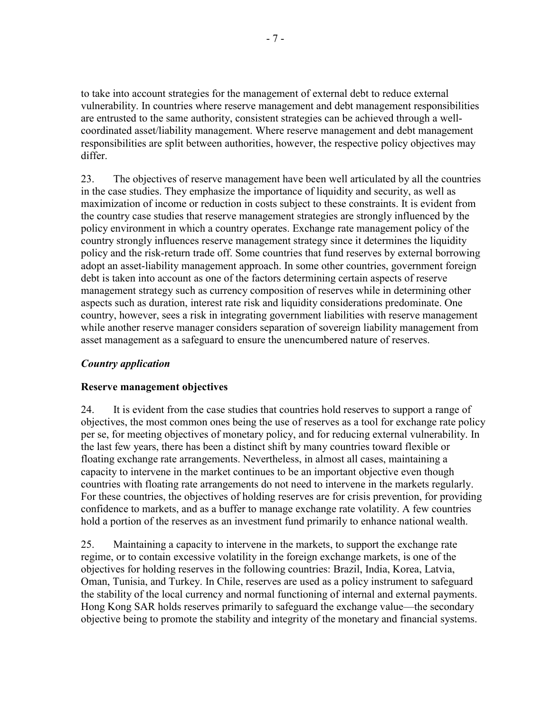to take into account strategies for the management of external debt to reduce external vulnerability. In countries where reserve management and debt management responsibilities are entrusted to the same authority, consistent strategies can be achieved through a wellcoordinated asset/liability management. Where reserve management and debt management responsibilities are split between authorities, however, the respective policy objectives may differ.

23. The objectives of reserve management have been well articulated by all the countries in the case studies. They emphasize the importance of liquidity and security, as well as maximization of income or reduction in costs subject to these constraints. It is evident from the country case studies that reserve management strategies are strongly influenced by the policy environment in which a country operates. Exchange rate management policy of the country strongly influences reserve management strategy since it determines the liquidity policy and the risk-return trade off. Some countries that fund reserves by external borrowing adopt an asset-liability management approach. In some other countries, government foreign debt is taken into account as one of the factors determining certain aspects of reserve management strategy such as currency composition of reserves while in determining other aspects such as duration, interest rate risk and liquidity considerations predominate. One country, however, sees a risk in integrating government liabilities with reserve management while another reserve manager considers separation of sovereign liability management from asset management as a safeguard to ensure the unencumbered nature of reserves.

## *Country application*

## **Reserve management objectives**

24. It is evident from the case studies that countries hold reserves to support a range of objectives, the most common ones being the use of reserves as a tool for exchange rate policy per se, for meeting objectives of monetary policy, and for reducing external vulnerability. In the last few years, there has been a distinct shift by many countries toward flexible or floating exchange rate arrangements. Nevertheless, in almost all cases, maintaining a capacity to intervene in the market continues to be an important objective even though countries with floating rate arrangements do not need to intervene in the markets regularly. For these countries, the objectives of holding reserves are for crisis prevention, for providing confidence to markets, and as a buffer to manage exchange rate volatility. A few countries hold a portion of the reserves as an investment fund primarily to enhance national wealth.

25. Maintaining a capacity to intervene in the markets, to support the exchange rate regime, or to contain excessive volatility in the foreign exchange markets, is one of the objectives for holding reserves in the following countries: Brazil, India, Korea, Latvia, Oman, Tunisia, and Turkey. In Chile, reserves are used as a policy instrument to safeguard the stability of the local currency and normal functioning of internal and external payments. Hong Kong SAR holds reserves primarily to safeguard the exchange value—the secondary objective being to promote the stability and integrity of the monetary and financial systems.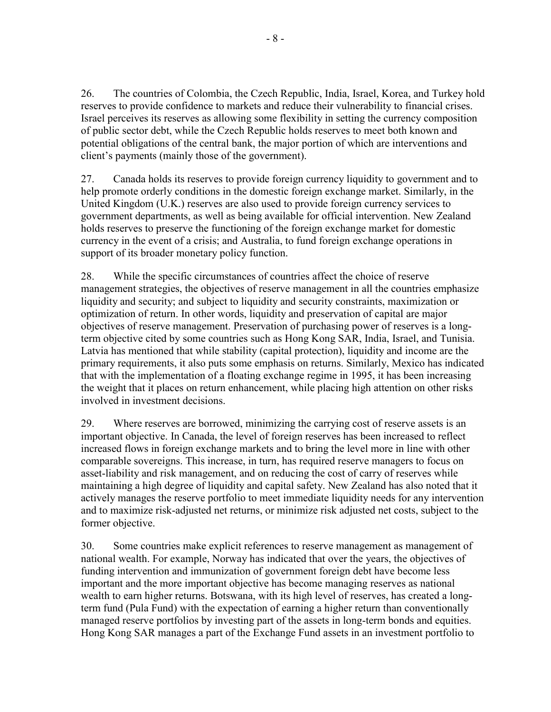26. The countries of Colombia, the Czech Republic, India, Israel, Korea, and Turkey hold reserves to provide confidence to markets and reduce their vulnerability to financial crises. Israel perceives its reserves as allowing some flexibility in setting the currency composition of public sector debt, while the Czech Republic holds reserves to meet both known and potential obligations of the central bank, the major portion of which are interventions and client's payments (mainly those of the government).

27. Canada holds its reserves to provide foreign currency liquidity to government and to help promote orderly conditions in the domestic foreign exchange market. Similarly, in the United Kingdom (U.K.) reserves are also used to provide foreign currency services to government departments, as well as being available for official intervention. New Zealand holds reserves to preserve the functioning of the foreign exchange market for domestic currency in the event of a crisis; and Australia, to fund foreign exchange operations in support of its broader monetary policy function.

28. While the specific circumstances of countries affect the choice of reserve management strategies, the objectives of reserve management in all the countries emphasize liquidity and security; and subject to liquidity and security constraints, maximization or optimization of return. In other words, liquidity and preservation of capital are major objectives of reserve management. Preservation of purchasing power of reserves is a longterm objective cited by some countries such as Hong Kong SAR, India, Israel, and Tunisia. Latvia has mentioned that while stability (capital protection), liquidity and income are the primary requirements, it also puts some emphasis on returns. Similarly, Mexico has indicated that with the implementation of a floating exchange regime in 1995, it has been increasing the weight that it places on return enhancement, while placing high attention on other risks involved in investment decisions.

29. Where reserves are borrowed, minimizing the carrying cost of reserve assets is an important objective. In Canada, the level of foreign reserves has been increased to reflect increased flows in foreign exchange markets and to bring the level more in line with other comparable sovereigns. This increase, in turn, has required reserve managers to focus on asset-liability and risk management, and on reducing the cost of carry of reserves while maintaining a high degree of liquidity and capital safety. New Zealand has also noted that it actively manages the reserve portfolio to meet immediate liquidity needs for any intervention and to maximize risk-adjusted net returns, or minimize risk adjusted net costs, subject to the former objective.

30. Some countries make explicit references to reserve management as management of national wealth. For example, Norway has indicated that over the years, the objectives of funding intervention and immunization of government foreign debt have become less important and the more important objective has become managing reserves as national wealth to earn higher returns. Botswana, with its high level of reserves, has created a longterm fund (Pula Fund) with the expectation of earning a higher return than conventionally managed reserve portfolios by investing part of the assets in long-term bonds and equities. Hong Kong SAR manages a part of the Exchange Fund assets in an investment portfolio to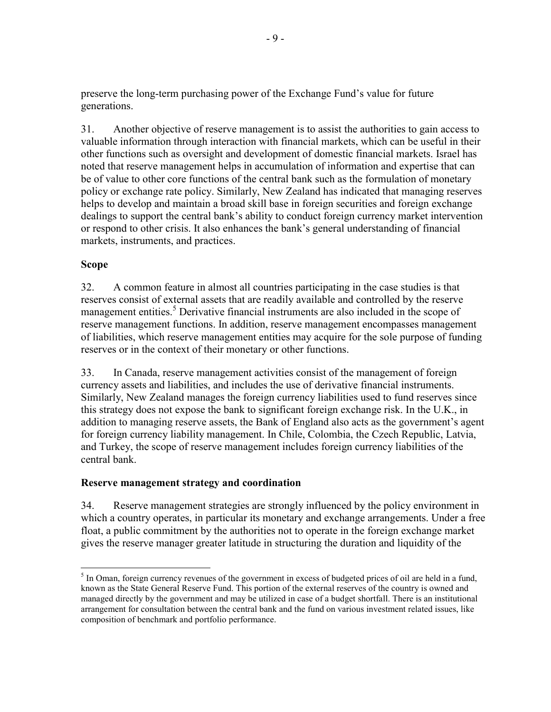preserve the long-term purchasing power of the Exchange Fund's value for future generations.

31. Another objective of reserve management is to assist the authorities to gain access to valuable information through interaction with financial markets, which can be useful in their other functions such as oversight and development of domestic financial markets. Israel has noted that reserve management helps in accumulation of information and expertise that can be of value to other core functions of the central bank such as the formulation of monetary policy or exchange rate policy. Similarly, New Zealand has indicated that managing reserves helps to develop and maintain a broad skill base in foreign securities and foreign exchange dealings to support the central bank's ability to conduct foreign currency market intervention or respond to other crisis. It also enhances the bank's general understanding of financial markets, instruments, and practices.

# **Scope**

32. A common feature in almost all countries participating in the case studies is that reserves consist of external assets that are readily available and controlled by the reserve management entities.<sup>5</sup> Derivative financial instruments are also included in the scope of reserve management functions. In addition, reserve management encompasses management of liabilities, which reserve management entities may acquire for the sole purpose of funding reserves or in the context of their monetary or other functions.

33. In Canada, reserve management activities consist of the management of foreign currency assets and liabilities, and includes the use of derivative financial instruments. Similarly, New Zealand manages the foreign currency liabilities used to fund reserves since this strategy does not expose the bank to significant foreign exchange risk. In the U.K., in addition to managing reserve assets, the Bank of England also acts as the government's agent for foreign currency liability management. In Chile, Colombia, the Czech Republic, Latvia, and Turkey, the scope of reserve management includes foreign currency liabilities of the central bank.

## **Reserve management strategy and coordination**

34. Reserve management strategies are strongly influenced by the policy environment in which a country operates, in particular its monetary and exchange arrangements. Under a free float, a public commitment by the authorities not to operate in the foreign exchange market gives the reserve manager greater latitude in structuring the duration and liquidity of the

 $\overline{\phantom{a}}$  $<sup>5</sup>$  In Oman, foreign currency revenues of the government in excess of budgeted prices of oil are held in a fund,</sup> known as the State General Reserve Fund. This portion of the external reserves of the country is owned and managed directly by the government and may be utilized in case of a budget shortfall. There is an institutional arrangement for consultation between the central bank and the fund on various investment related issues, like composition of benchmark and portfolio performance.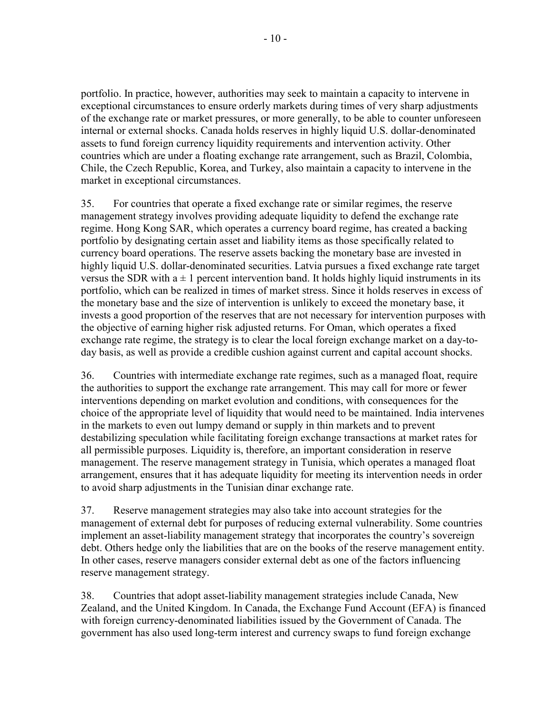portfolio. In practice, however, authorities may seek to maintain a capacity to intervene in exceptional circumstances to ensure orderly markets during times of very sharp adjustments of the exchange rate or market pressures, or more generally, to be able to counter unforeseen internal or external shocks. Canada holds reserves in highly liquid U.S. dollar-denominated assets to fund foreign currency liquidity requirements and intervention activity. Other countries which are under a floating exchange rate arrangement, such as Brazil, Colombia, Chile, the Czech Republic, Korea, and Turkey, also maintain a capacity to intervene in the market in exceptional circumstances.

35. For countries that operate a fixed exchange rate or similar regimes, the reserve management strategy involves providing adequate liquidity to defend the exchange rate regime. Hong Kong SAR, which operates a currency board regime, has created a backing portfolio by designating certain asset and liability items as those specifically related to currency board operations. The reserve assets backing the monetary base are invested in highly liquid U.S. dollar-denominated securities. Latvia pursues a fixed exchange rate target versus the SDR with  $a \pm 1$  percent intervention band. It holds highly liquid instruments in its portfolio, which can be realized in times of market stress. Since it holds reserves in excess of the monetary base and the size of intervention is unlikely to exceed the monetary base, it invests a good proportion of the reserves that are not necessary for intervention purposes with the objective of earning higher risk adjusted returns. For Oman, which operates a fixed exchange rate regime, the strategy is to clear the local foreign exchange market on a day-today basis, as well as provide a credible cushion against current and capital account shocks.

36. Countries with intermediate exchange rate regimes, such as a managed float, require the authorities to support the exchange rate arrangement. This may call for more or fewer interventions depending on market evolution and conditions, with consequences for the choice of the appropriate level of liquidity that would need to be maintained. India intervenes in the markets to even out lumpy demand or supply in thin markets and to prevent destabilizing speculation while facilitating foreign exchange transactions at market rates for all permissible purposes. Liquidity is, therefore, an important consideration in reserve management. The reserve management strategy in Tunisia, which operates a managed float arrangement, ensures that it has adequate liquidity for meeting its intervention needs in order to avoid sharp adjustments in the Tunisian dinar exchange rate.

37. Reserve management strategies may also take into account strategies for the management of external debt for purposes of reducing external vulnerability. Some countries implement an asset-liability management strategy that incorporates the country's sovereign debt. Others hedge only the liabilities that are on the books of the reserve management entity. In other cases, reserve managers consider external debt as one of the factors influencing reserve management strategy.

38. Countries that adopt asset-liability management strategies include Canada, New Zealand, and the United Kingdom. In Canada, the Exchange Fund Account (EFA) is financed with foreign currency-denominated liabilities issued by the Government of Canada. The government has also used long-term interest and currency swaps to fund foreign exchange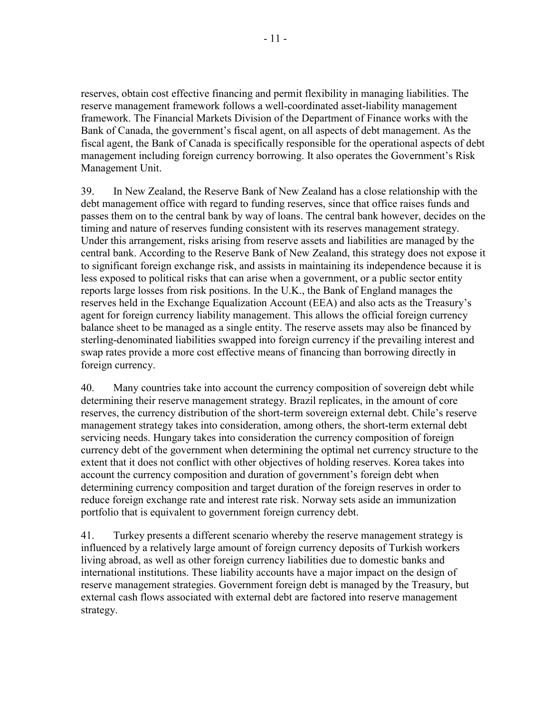reserves, obtain cost effective financing and permit flexibility in managing liabilities. The reserve management framework follows a well-coordinated asset-liability management framework. The Financial Markets Division of the Department of Finance works with the Bank of Canada, the government's fiscal agent, on all aspects of debt management. As the fiscal agent, the Bank of Canada is specifically responsible for the operational aspects of debt management including foreign currency borrowing. It also operates the Government's Risk Management Unit.

39. In New Zealand, the Reserve Bank of New Zealand has a close relationship with the debt management office with regard to funding reserves, since that office raises funds and passes them on to the central bank by way of loans. The central bank however, decides on the timing and nature of reserves funding consistent with its reserves management strategy. Under this arrangement, risks arising from reserve assets and liabilities are managed by the central bank. According to the Reserve Bank of New Zealand, this strategy does not expose it to significant foreign exchange risk, and assists in maintaining its independence because it is less exposed to political risks that can arise when a government, or a public sector entity reports large losses from risk positions. In the U.K., the Bank of England manages the reserves held in the Exchange Equalization Account (EEA) and also acts as the Treasury's agent for foreign currency liability management. This allows the official foreign currency balance sheet to be managed as a single entity. The reserve assets may also be financed by sterling-denominated liabilities swapped into foreign currency if the prevailing interest and swap rates provide a more cost effective means of financing than borrowing directly in foreign currency.

40. Many countries take into account the currency composition of sovereign debt while determining their reserve management strategy. Brazil replicates, in the amount of core reserves, the currency distribution of the short-term sovereign external debt. Chile's reserve management strategy takes into consideration, among others, the short-term external debt servicing needs. Hungary takes into consideration the currency composition of foreign currency debt of the government when determining the optimal net currency structure to the extent that it does not conflict with other objectives of holding reserves. Korea takes into account the currency composition and duration of government's foreign debt when determining currency composition and target duration of the foreign reserves in order to reduce foreign exchange rate and interest rate risk. Norway sets aside an immunization portfolio that is equivalent to government foreign currency debt.

41. Turkey presents a different scenario whereby the reserve management strategy is influenced by a relatively large amount of foreign currency deposits of Turkish workers living abroad, as well as other foreign currency liabilities due to domestic banks and international institutions. These liability accounts have a major impact on the design of reserve management strategies. Government foreign debt is managed by the Treasury, but external cash flows associated with external debt are factored into reserve management strategy.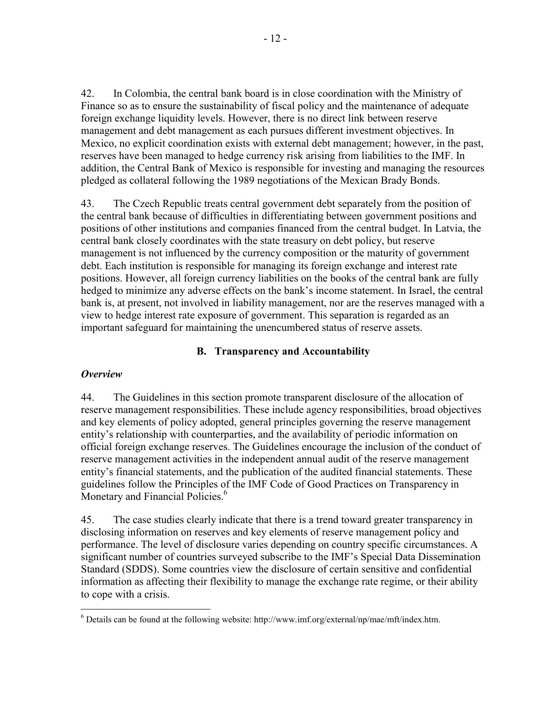42. In Colombia, the central bank board is in close coordination with the Ministry of Finance so as to ensure the sustainability of fiscal policy and the maintenance of adequate foreign exchange liquidity levels. However, there is no direct link between reserve management and debt management as each pursues different investment objectives. In Mexico, no explicit coordination exists with external debt management; however, in the past, reserves have been managed to hedge currency risk arising from liabilities to the IMF. In addition, the Central Bank of Mexico is responsible for investing and managing the resources pledged as collateral following the 1989 negotiations of the Mexican Brady Bonds.

43. The Czech Republic treats central government debt separately from the position of the central bank because of difficulties in differentiating between government positions and positions of other institutions and companies financed from the central budget. In Latvia, the central bank closely coordinates with the state treasury on debt policy, but reserve management is not influenced by the currency composition or the maturity of government debt. Each institution is responsible for managing its foreign exchange and interest rate positions. However, all foreign currency liabilities on the books of the central bank are fully hedged to minimize any adverse effects on the bank's income statement. In Israel, the central bank is, at present, not involved in liability management, nor are the reserves managed with a view to hedge interest rate exposure of government. This separation is regarded as an important safeguard for maintaining the unencumbered status of reserve assets.

# **B. Transparency and Accountability**

## *Overview*

44. The Guidelines in this section promote transparent disclosure of the allocation of reserve management responsibilities. These include agency responsibilities, broad objectives and key elements of policy adopted, general principles governing the reserve management entity's relationship with counterparties, and the availability of periodic information on official foreign exchange reserves. The Guidelines encourage the inclusion of the conduct of reserve management activities in the independent annual audit of the reserve management entity's financial statements, and the publication of the audited financial statements. These guidelines follow the Principles of the IMF Code of Good Practices on Transparency in Monetary and Financial Policies.<sup>6</sup>

45. The case studies clearly indicate that there is a trend toward greater transparency in disclosing information on reserves and key elements of reserve management policy and performance. The level of disclosure varies depending on country specific circumstances. A significant number of countries surveyed subscribe to the IMF's Special Data Dissemination Standard (SDDS). Some countries view the disclosure of certain sensitive and confidential information as affecting their flexibility to manage the exchange rate regime, or their ability to cope with a crisis.

l  $6$  Details can be found at the following website: http://www.imf.org/external/np/mae/mft/index.htm.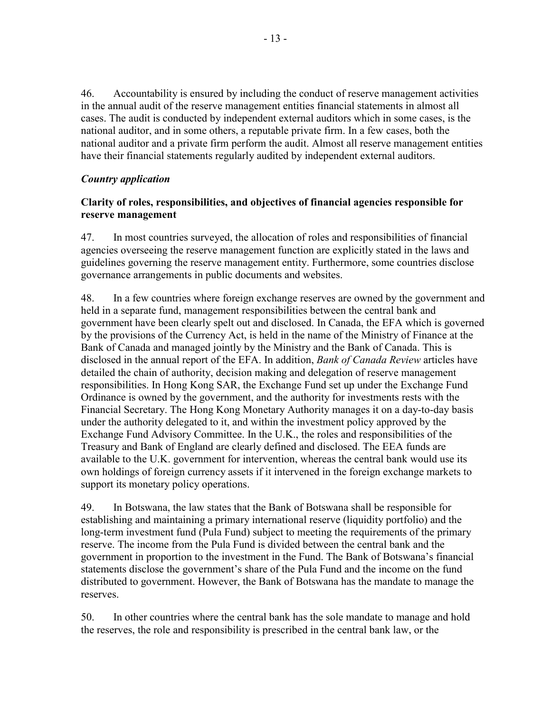46. Accountability is ensured by including the conduct of reserve management activities in the annual audit of the reserve management entities financial statements in almost all cases. The audit is conducted by independent external auditors which in some cases, is the national auditor, and in some others, a reputable private firm. In a few cases, both the national auditor and a private firm perform the audit. Almost all reserve management entities have their financial statements regularly audited by independent external auditors.

# *Country application*

## **Clarity of roles, responsibilities, and objectives of financial agencies responsible for reserve management**

47. In most countries surveyed, the allocation of roles and responsibilities of financial agencies overseeing the reserve management function are explicitly stated in the laws and guidelines governing the reserve management entity. Furthermore, some countries disclose governance arrangements in public documents and websites.

48. In a few countries where foreign exchange reserves are owned by the government and held in a separate fund, management responsibilities between the central bank and government have been clearly spelt out and disclosed. In Canada, the EFA which is governed by the provisions of the Currency Act, is held in the name of the Ministry of Finance at the Bank of Canada and managed jointly by the Ministry and the Bank of Canada. This is disclosed in the annual report of the EFA. In addition, *Bank of Canada Review* articles have detailed the chain of authority, decision making and delegation of reserve management responsibilities. In Hong Kong SAR, the Exchange Fund set up under the Exchange Fund Ordinance is owned by the government, and the authority for investments rests with the Financial Secretary. The Hong Kong Monetary Authority manages it on a day-to-day basis under the authority delegated to it, and within the investment policy approved by the Exchange Fund Advisory Committee. In the U.K., the roles and responsibilities of the Treasury and Bank of England are clearly defined and disclosed. The EEA funds are available to the U.K. government for intervention, whereas the central bank would use its own holdings of foreign currency assets if it intervened in the foreign exchange markets to support its monetary policy operations.

49. In Botswana, the law states that the Bank of Botswana shall be responsible for establishing and maintaining a primary international reserve (liquidity portfolio) and the long-term investment fund (Pula Fund) subject to meeting the requirements of the primary reserve. The income from the Pula Fund is divided between the central bank and the government in proportion to the investment in the Fund. The Bank of Botswana's financial statements disclose the government's share of the Pula Fund and the income on the fund distributed to government. However, the Bank of Botswana has the mandate to manage the reserves.

50. In other countries where the central bank has the sole mandate to manage and hold the reserves, the role and responsibility is prescribed in the central bank law, or the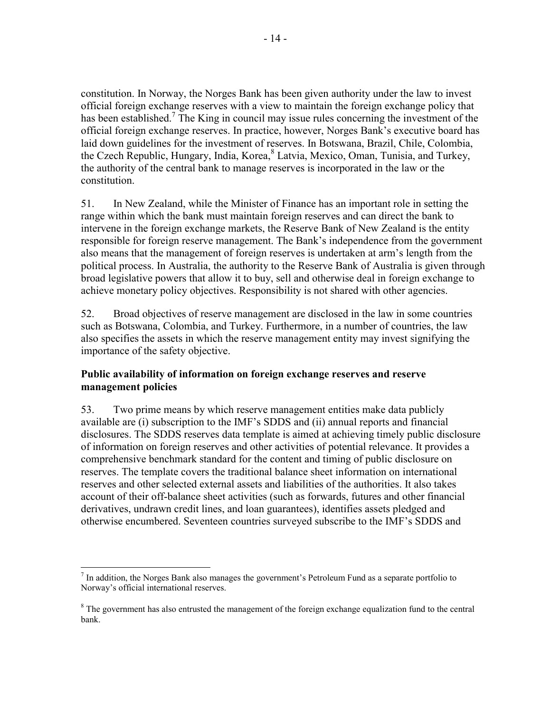constitution. In Norway, the Norges Bank has been given authority under the law to invest official foreign exchange reserves with a view to maintain the foreign exchange policy that has been established.<sup>7</sup> The King in council may issue rules concerning the investment of the official foreign exchange reserves. In practice, however, Norges Bank's executive board has laid down guidelines for the investment of reserves. In Botswana, Brazil, Chile, Colombia, the Czech Republic, Hungary, India, Korea, <sup>8</sup> Latvia, Mexico, Oman, Tunisia, and Turkey, the authority of the central bank to manage reserves is incorporated in the law or the constitution.

51. In New Zealand, while the Minister of Finance has an important role in setting the range within which the bank must maintain foreign reserves and can direct the bank to intervene in the foreign exchange markets, the Reserve Bank of New Zealand is the entity responsible for foreign reserve management. The Bank's independence from the government also means that the management of foreign reserves is undertaken at arm's length from the political process. In Australia, the authority to the Reserve Bank of Australia is given through broad legislative powers that allow it to buy, sell and otherwise deal in foreign exchange to achieve monetary policy objectives. Responsibility is not shared with other agencies.

52. Broad objectives of reserve management are disclosed in the law in some countries such as Botswana, Colombia, and Turkey. Furthermore, in a number of countries, the law also specifies the assets in which the reserve management entity may invest signifying the importance of the safety objective.

## **Public availability of information on foreign exchange reserves and reserve management policies**

53. Two prime means by which reserve management entities make data publicly available are (i) subscription to the IMF's SDDS and (ii) annual reports and financial disclosures. The SDDS reserves data template is aimed at achieving timely public disclosure of information on foreign reserves and other activities of potential relevance. It provides a comprehensive benchmark standard for the content and timing of public disclosure on reserves. The template covers the traditional balance sheet information on international reserves and other selected external assets and liabilities of the authorities. It also takes account of their off-balance sheet activities (such as forwards, futures and other financial derivatives, undrawn credit lines, and loan guarantees), identifies assets pledged and otherwise encumbered. Seventeen countries surveyed subscribe to the IMF's SDDS and

  $<sup>7</sup>$  In addition, the Norges Bank also manages the government's Petroleum Fund as a separate portfolio to</sup> Norway's official international reserves.

<sup>&</sup>lt;sup>8</sup> The government has also entrusted the management of the foreign exchange equalization fund to the central bank.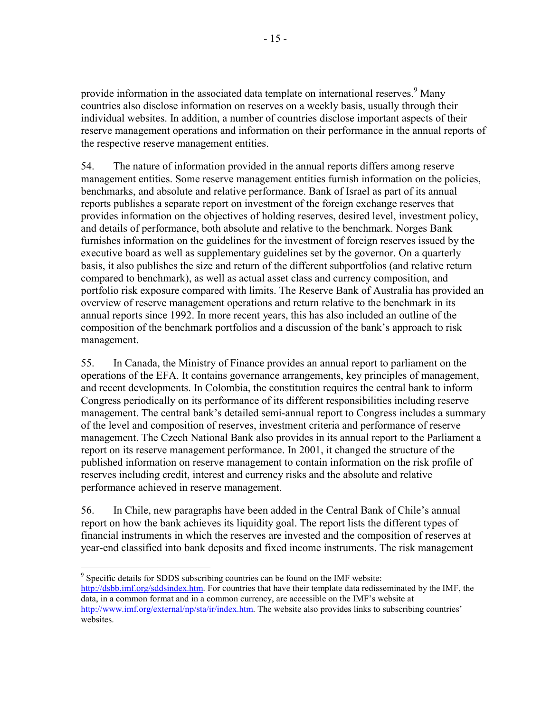provide information in the associated data template on international reserves.<sup>9</sup> Many countries also disclose information on reserves on a weekly basis, usually through their individual websites. In addition, a number of countries disclose important aspects of their reserve management operations and information on their performance in the annual reports of the respective reserve management entities.

54. The nature of information provided in the annual reports differs among reserve management entities. Some reserve management entities furnish information on the policies, benchmarks, and absolute and relative performance. Bank of Israel as part of its annual reports publishes a separate report on investment of the foreign exchange reserves that provides information on the objectives of holding reserves, desired level, investment policy, and details of performance, both absolute and relative to the benchmark. Norges Bank furnishes information on the guidelines for the investment of foreign reserves issued by the executive board as well as supplementary guidelines set by the governor. On a quarterly basis, it also publishes the size and return of the different subportfolios (and relative return compared to benchmark), as well as actual asset class and currency composition, and portfolio risk exposure compared with limits. The Reserve Bank of Australia has provided an overview of reserve management operations and return relative to the benchmark in its annual reports since 1992. In more recent years, this has also included an outline of the composition of the benchmark portfolios and a discussion of the bank's approach to risk management.

55. In Canada, the Ministry of Finance provides an annual report to parliament on the operations of the EFA. It contains governance arrangements, key principles of management, and recent developments. In Colombia, the constitution requires the central bank to inform Congress periodically on its performance of its different responsibilities including reserve management. The central bank's detailed semi-annual report to Congress includes a summary of the level and composition of reserves, investment criteria and performance of reserve management. The Czech National Bank also provides in its annual report to the Parliament a report on its reserve management performance. In 2001, it changed the structure of the published information on reserve management to contain information on the risk profile of reserves including credit, interest and currency risks and the absolute and relative performance achieved in reserve management.

56. In Chile, new paragraphs have been added in the Central Bank of Chile's annual report on how the bank achieves its liquidity goal. The report lists the different types of financial instruments in which the reserves are invested and the composition of reserves at year-end classified into bank deposits and fixed income instruments. The risk management

 $\overline{\phantom{a}}$ <sup>9</sup> Specific details for SDDS subscribing countries can be found on the IMF website: http://dsbb.imf.org/sddsindex.htm. For countries that have their template data redisseminated by the IMF, the data, in a common format and in a common currency, are accessible on the IMF's website at http://www.imf.org/external/np/sta/ir/index.htm. The website also provides links to subscribing countries' websites.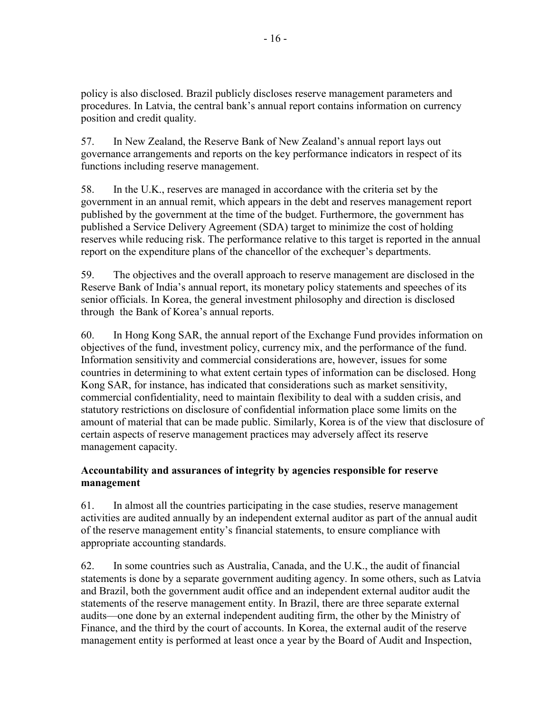policy is also disclosed. Brazil publicly discloses reserve management parameters and procedures. In Latvia, the central bank's annual report contains information on currency position and credit quality.

57. In New Zealand, the Reserve Bank of New Zealand's annual report lays out governance arrangements and reports on the key performance indicators in respect of its functions including reserve management.

58. In the U.K., reserves are managed in accordance with the criteria set by the government in an annual remit, which appears in the debt and reserves management report published by the government at the time of the budget. Furthermore, the government has published a Service Delivery Agreement (SDA) target to minimize the cost of holding reserves while reducing risk. The performance relative to this target is reported in the annual report on the expenditure plans of the chancellor of the exchequer's departments.

59. The objectives and the overall approach to reserve management are disclosed in the Reserve Bank of India's annual report, its monetary policy statements and speeches of its senior officials. In Korea, the general investment philosophy and direction is disclosed through the Bank of Korea's annual reports.

60. In Hong Kong SAR, the annual report of the Exchange Fund provides information on objectives of the fund, investment policy, currency mix, and the performance of the fund. Information sensitivity and commercial considerations are, however, issues for some countries in determining to what extent certain types of information can be disclosed. Hong Kong SAR, for instance, has indicated that considerations such as market sensitivity, commercial confidentiality, need to maintain flexibility to deal with a sudden crisis, and statutory restrictions on disclosure of confidential information place some limits on the amount of material that can be made public. Similarly, Korea is of the view that disclosure of certain aspects of reserve management practices may adversely affect its reserve management capacity.

# **Accountability and assurances of integrity by agencies responsible for reserve management**

61. In almost all the countries participating in the case studies, reserve management activities are audited annually by an independent external auditor as part of the annual audit of the reserve management entity's financial statements, to ensure compliance with appropriate accounting standards.

62. In some countries such as Australia, Canada, and the U.K., the audit of financial statements is done by a separate government auditing agency. In some others, such as Latvia and Brazil, both the government audit office and an independent external auditor audit the statements of the reserve management entity. In Brazil, there are three separate external audits—one done by an external independent auditing firm, the other by the Ministry of Finance, and the third by the court of accounts. In Korea, the external audit of the reserve management entity is performed at least once a year by the Board of Audit and Inspection,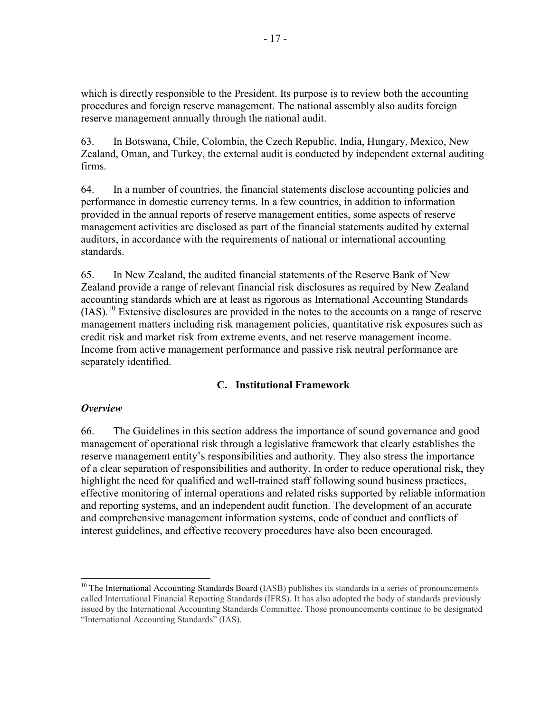which is directly responsible to the President. Its purpose is to review both the accounting procedures and foreign reserve management. The national assembly also audits foreign reserve management annually through the national audit.

63. In Botswana, Chile, Colombia, the Czech Republic, India, Hungary, Mexico, New Zealand, Oman, and Turkey, the external audit is conducted by independent external auditing firms.

64. In a number of countries, the financial statements disclose accounting policies and performance in domestic currency terms. In a few countries, in addition to information provided in the annual reports of reserve management entities, some aspects of reserve management activities are disclosed as part of the financial statements audited by external auditors, in accordance with the requirements of national or international accounting standards.

65. In New Zealand, the audited financial statements of the Reserve Bank of New Zealand provide a range of relevant financial risk disclosures as required by New Zealand accounting standards which are at least as rigorous as International Accounting Standards (IAS).10 Extensive disclosures are provided in the notes to the accounts on a range of reserve management matters including risk management policies, quantitative risk exposures such as credit risk and market risk from extreme events, and net reserve management income. Income from active management performance and passive risk neutral performance are separately identified.

## **C. Institutional Framework**

## *Overview*

66. The Guidelines in this section address the importance of sound governance and good management of operational risk through a legislative framework that clearly establishes the reserve management entity's responsibilities and authority. They also stress the importance of a clear separation of responsibilities and authority. In order to reduce operational risk, they highlight the need for qualified and well-trained staff following sound business practices, effective monitoring of internal operations and related risks supported by reliable information and reporting systems, and an independent audit function. The development of an accurate and comprehensive management information systems, code of conduct and conflicts of interest guidelines, and effective recovery procedures have also been encouraged.

 <sup>10</sup> The International Accounting Standards Board (IASB) publishes its standards in a series of pronouncements called International Financial Reporting Standards (IFRS). It has also adopted the body of standards previously issued by the International Accounting Standards Committee. Those pronouncements continue to be designated "International Accounting Standards" (IAS).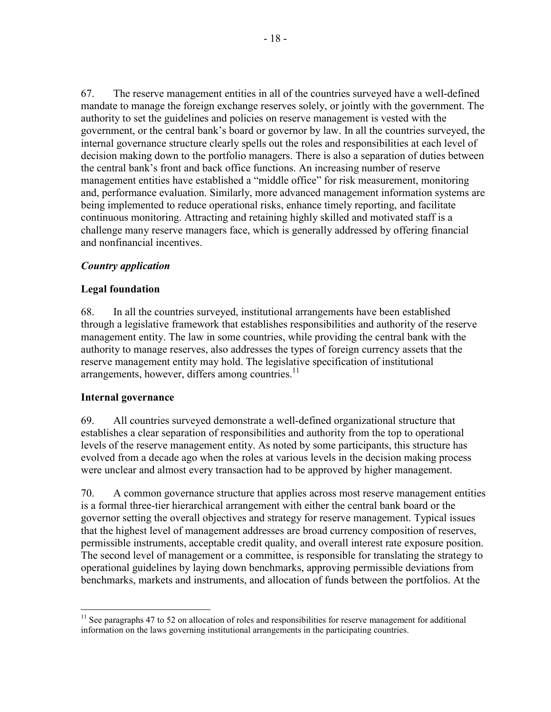67. The reserve management entities in all of the countries surveyed have a well-defined mandate to manage the foreign exchange reserves solely, or jointly with the government. The authority to set the guidelines and policies on reserve management is vested with the government, or the central bank's board or governor by law. In all the countries surveyed, the internal governance structure clearly spells out the roles and responsibilities at each level of decision making down to the portfolio managers. There is also a separation of duties between the central bank's front and back office functions. An increasing number of reserve management entities have established a "middle office" for risk measurement, monitoring and, performance evaluation. Similarly, more advanced management information systems are being implemented to reduce operational risks, enhance timely reporting, and facilitate continuous monitoring. Attracting and retaining highly skilled and motivated staff is a challenge many reserve managers face, which is generally addressed by offering financial and nonfinancial incentives.

# *Country application*

## **Legal foundation**

68. In all the countries surveyed, institutional arrangements have been established through a legislative framework that establishes responsibilities and authority of the reserve management entity. The law in some countries, while providing the central bank with the authority to manage reserves, also addresses the types of foreign currency assets that the reserve management entity may hold. The legislative specification of institutional arrangements, however, differs among countries.<sup>11</sup>

## **Internal governance**

 $\overline{\phantom{a}}$ 

69. All countries surveyed demonstrate a well-defined organizational structure that establishes a clear separation of responsibilities and authority from the top to operational levels of the reserve management entity. As noted by some participants, this structure has evolved from a decade ago when the roles at various levels in the decision making process were unclear and almost every transaction had to be approved by higher management.

70. A common governance structure that applies across most reserve management entities is a formal three-tier hierarchical arrangement with either the central bank board or the governor setting the overall objectives and strategy for reserve management. Typical issues that the highest level of management addresses are broad currency composition of reserves, permissible instruments, acceptable credit quality, and overall interest rate exposure position. The second level of management or a committee, is responsible for translating the strategy to operational guidelines by laying down benchmarks, approving permissible deviations from benchmarks, markets and instruments, and allocation of funds between the portfolios. At the

 $11$  See paragraphs 47 to 52 on allocation of roles and responsibilities for reserve management for additional information on the laws governing institutional arrangements in the participating countries.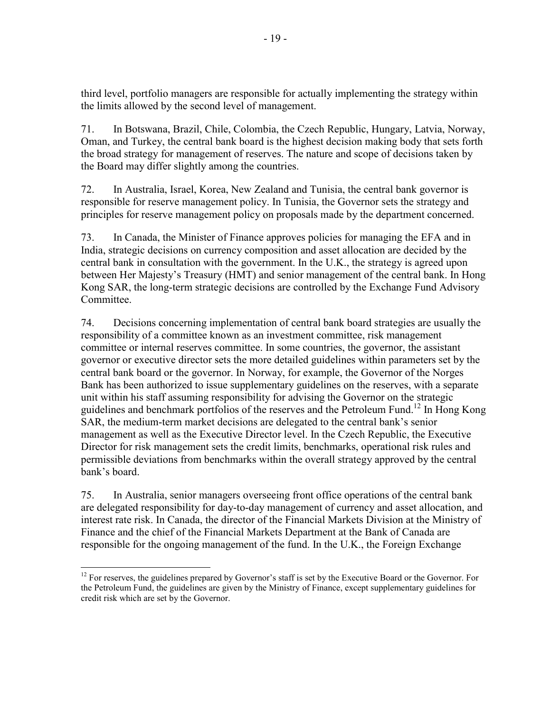third level, portfolio managers are responsible for actually implementing the strategy within the limits allowed by the second level of management.

71. In Botswana, Brazil, Chile, Colombia, the Czech Republic, Hungary, Latvia, Norway, Oman, and Turkey, the central bank board is the highest decision making body that sets forth the broad strategy for management of reserves. The nature and scope of decisions taken by the Board may differ slightly among the countries.

72. In Australia, Israel, Korea, New Zealand and Tunisia, the central bank governor is responsible for reserve management policy. In Tunisia, the Governor sets the strategy and principles for reserve management policy on proposals made by the department concerned.

73. In Canada, the Minister of Finance approves policies for managing the EFA and in India, strategic decisions on currency composition and asset allocation are decided by the central bank in consultation with the government. In the U.K., the strategy is agreed upon between Her Majesty's Treasury (HMT) and senior management of the central bank. In Hong Kong SAR, the long-term strategic decisions are controlled by the Exchange Fund Advisory Committee.

74. Decisions concerning implementation of central bank board strategies are usually the responsibility of a committee known as an investment committee, risk management committee or internal reserves committee. In some countries, the governor, the assistant governor or executive director sets the more detailed guidelines within parameters set by the central bank board or the governor. In Norway, for example, the Governor of the Norges Bank has been authorized to issue supplementary guidelines on the reserves, with a separate unit within his staff assuming responsibility for advising the Governor on the strategic guidelines and benchmark portfolios of the reserves and the Petroleum Fund.12 In Hong Kong SAR, the medium-term market decisions are delegated to the central bank's senior management as well as the Executive Director level. In the Czech Republic, the Executive Director for risk management sets the credit limits, benchmarks, operational risk rules and permissible deviations from benchmarks within the overall strategy approved by the central bank's board.

75. In Australia, senior managers overseeing front office operations of the central bank are delegated responsibility for day-to-day management of currency and asset allocation, and interest rate risk. In Canada, the director of the Financial Markets Division at the Ministry of Finance and the chief of the Financial Markets Department at the Bank of Canada are responsible for the ongoing management of the fund. In the U.K., the Foreign Exchange

 $12$  For reserves, the guidelines prepared by Governor's staff is set by the Executive Board or the Governor. For the Petroleum Fund, the guidelines are given by the Ministry of Finance, except supplementary guidelines for credit risk which are set by the Governor.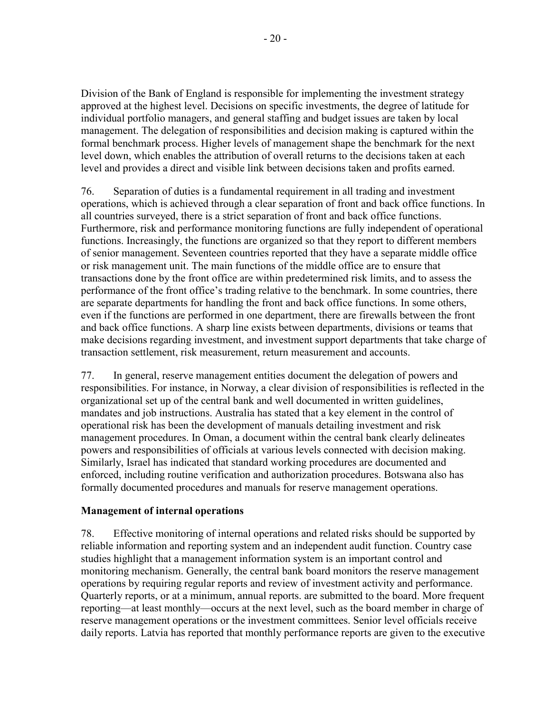Division of the Bank of England is responsible for implementing the investment strategy approved at the highest level. Decisions on specific investments, the degree of latitude for individual portfolio managers, and general staffing and budget issues are taken by local management. The delegation of responsibilities and decision making is captured within the formal benchmark process. Higher levels of management shape the benchmark for the next level down, which enables the attribution of overall returns to the decisions taken at each level and provides a direct and visible link between decisions taken and profits earned.

76. Separation of duties is a fundamental requirement in all trading and investment operations, which is achieved through a clear separation of front and back office functions. In all countries surveyed, there is a strict separation of front and back office functions. Furthermore, risk and performance monitoring functions are fully independent of operational functions. Increasingly, the functions are organized so that they report to different members of senior management. Seventeen countries reported that they have a separate middle office or risk management unit. The main functions of the middle office are to ensure that transactions done by the front office are within predetermined risk limits, and to assess the performance of the front office's trading relative to the benchmark. In some countries, there are separate departments for handling the front and back office functions. In some others, even if the functions are performed in one department, there are firewalls between the front and back office functions. A sharp line exists between departments, divisions or teams that make decisions regarding investment, and investment support departments that take charge of transaction settlement, risk measurement, return measurement and accounts.

77. In general, reserve management entities document the delegation of powers and responsibilities. For instance, in Norway, a clear division of responsibilities is reflected in the organizational set up of the central bank and well documented in written guidelines, mandates and job instructions. Australia has stated that a key element in the control of operational risk has been the development of manuals detailing investment and risk management procedures. In Oman, a document within the central bank clearly delineates powers and responsibilities of officials at various levels connected with decision making. Similarly, Israel has indicated that standard working procedures are documented and enforced, including routine verification and authorization procedures. Botswana also has formally documented procedures and manuals for reserve management operations.

#### **Management of internal operations**

78. Effective monitoring of internal operations and related risks should be supported by reliable information and reporting system and an independent audit function. Country case studies highlight that a management information system is an important control and monitoring mechanism. Generally, the central bank board monitors the reserve management operations by requiring regular reports and review of investment activity and performance. Quarterly reports, or at a minimum, annual reports. are submitted to the board. More frequent reporting—at least monthly—occurs at the next level, such as the board member in charge of reserve management operations or the investment committees. Senior level officials receive daily reports. Latvia has reported that monthly performance reports are given to the executive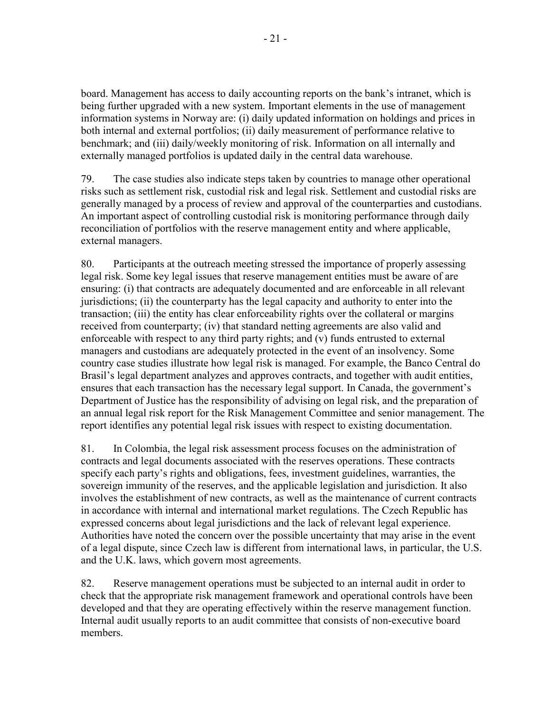board. Management has access to daily accounting reports on the bank's intranet, which is being further upgraded with a new system. Important elements in the use of management information systems in Norway are: (i) daily updated information on holdings and prices in both internal and external portfolios; (ii) daily measurement of performance relative to benchmark; and (iii) daily/weekly monitoring of risk. Information on all internally and externally managed portfolios is updated daily in the central data warehouse.

79. The case studies also indicate steps taken by countries to manage other operational risks such as settlement risk, custodial risk and legal risk. Settlement and custodial risks are generally managed by a process of review and approval of the counterparties and custodians. An important aspect of controlling custodial risk is monitoring performance through daily reconciliation of portfolios with the reserve management entity and where applicable, external managers.

80. Participants at the outreach meeting stressed the importance of properly assessing legal risk. Some key legal issues that reserve management entities must be aware of are ensuring: (i) that contracts are adequately documented and are enforceable in all relevant jurisdictions; (ii) the counterparty has the legal capacity and authority to enter into the transaction; (iii) the entity has clear enforceability rights over the collateral or margins received from counterparty; (iv) that standard netting agreements are also valid and enforceable with respect to any third party rights; and (v) funds entrusted to external managers and custodians are adequately protected in the event of an insolvency. Some country case studies illustrate how legal risk is managed. For example, the Banco Central do Brasil's legal department analyzes and approves contracts, and together with audit entities, ensures that each transaction has the necessary legal support. In Canada, the government's Department of Justice has the responsibility of advising on legal risk, and the preparation of an annual legal risk report for the Risk Management Committee and senior management. The report identifies any potential legal risk issues with respect to existing documentation.

81. In Colombia, the legal risk assessment process focuses on the administration of contracts and legal documents associated with the reserves operations. These contracts specify each party's rights and obligations, fees, investment guidelines, warranties, the sovereign immunity of the reserves, and the applicable legislation and jurisdiction. It also involves the establishment of new contracts, as well as the maintenance of current contracts in accordance with internal and international market regulations. The Czech Republic has expressed concerns about legal jurisdictions and the lack of relevant legal experience. Authorities have noted the concern over the possible uncertainty that may arise in the event of a legal dispute, since Czech law is different from international laws, in particular, the U.S. and the U.K. laws, which govern most agreements.

82. Reserve management operations must be subjected to an internal audit in order to check that the appropriate risk management framework and operational controls have been developed and that they are operating effectively within the reserve management function. Internal audit usually reports to an audit committee that consists of non-executive board members.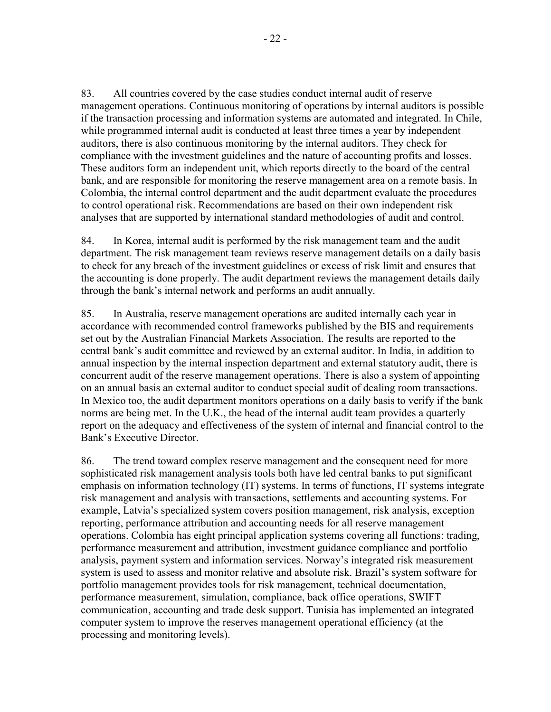83. All countries covered by the case studies conduct internal audit of reserve management operations. Continuous monitoring of operations by internal auditors is possible if the transaction processing and information systems are automated and integrated. In Chile, while programmed internal audit is conducted at least three times a year by independent auditors, there is also continuous monitoring by the internal auditors. They check for compliance with the investment guidelines and the nature of accounting profits and losses. These auditors form an independent unit, which reports directly to the board of the central bank, and are responsible for monitoring the reserve management area on a remote basis. In Colombia, the internal control department and the audit department evaluate the procedures to control operational risk. Recommendations are based on their own independent risk analyses that are supported by international standard methodologies of audit and control.

84. In Korea, internal audit is performed by the risk management team and the audit department. The risk management team reviews reserve management details on a daily basis to check for any breach of the investment guidelines or excess of risk limit and ensures that the accounting is done properly. The audit department reviews the management details daily through the bank's internal network and performs an audit annually.

85. In Australia, reserve management operations are audited internally each year in accordance with recommended control frameworks published by the BIS and requirements set out by the Australian Financial Markets Association. The results are reported to the central bank's audit committee and reviewed by an external auditor. In India, in addition to annual inspection by the internal inspection department and external statutory audit, there is concurrent audit of the reserve management operations. There is also a system of appointing on an annual basis an external auditor to conduct special audit of dealing room transactions. In Mexico too, the audit department monitors operations on a daily basis to verify if the bank norms are being met. In the U.K., the head of the internal audit team provides a quarterly report on the adequacy and effectiveness of the system of internal and financial control to the Bank's Executive Director.

86. The trend toward complex reserve management and the consequent need for more sophisticated risk management analysis tools both have led central banks to put significant emphasis on information technology (IT) systems. In terms of functions, IT systems integrate risk management and analysis with transactions, settlements and accounting systems. For example, Latvia's specialized system covers position management, risk analysis, exception reporting, performance attribution and accounting needs for all reserve management operations. Colombia has eight principal application systems covering all functions: trading, performance measurement and attribution, investment guidance compliance and portfolio analysis, payment system and information services. Norway's integrated risk measurement system is used to assess and monitor relative and absolute risk. Brazil's system software for portfolio management provides tools for risk management, technical documentation, performance measurement, simulation, compliance, back office operations, SWIFT communication, accounting and trade desk support. Tunisia has implemented an integrated computer system to improve the reserves management operational efficiency (at the processing and monitoring levels).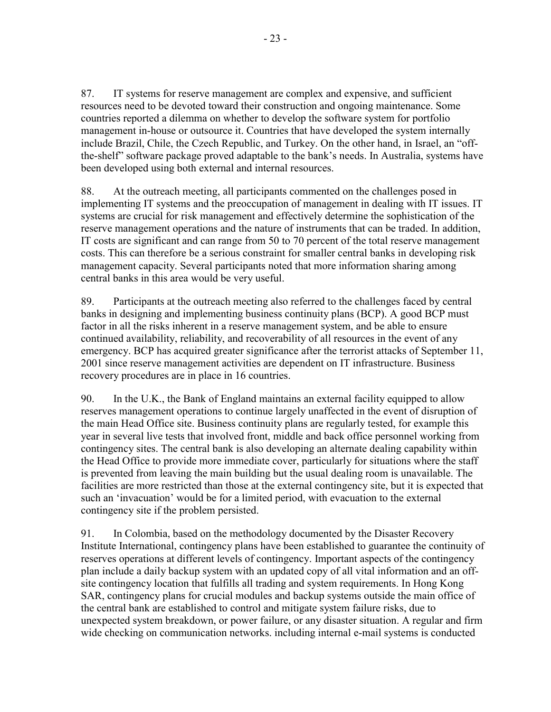87. IT systems for reserve management are complex and expensive, and sufficient resources need to be devoted toward their construction and ongoing maintenance. Some countries reported a dilemma on whether to develop the software system for portfolio management in-house or outsource it. Countries that have developed the system internally include Brazil, Chile, the Czech Republic, and Turkey. On the other hand, in Israel, an "offthe-shelf" software package proved adaptable to the bank's needs. In Australia, systems have been developed using both external and internal resources.

88. At the outreach meeting, all participants commented on the challenges posed in implementing IT systems and the preoccupation of management in dealing with IT issues. IT systems are crucial for risk management and effectively determine the sophistication of the reserve management operations and the nature of instruments that can be traded. In addition, IT costs are significant and can range from 50 to 70 percent of the total reserve management costs. This can therefore be a serious constraint for smaller central banks in developing risk management capacity. Several participants noted that more information sharing among central banks in this area would be very useful.

89. Participants at the outreach meeting also referred to the challenges faced by central banks in designing and implementing business continuity plans (BCP). A good BCP must factor in all the risks inherent in a reserve management system, and be able to ensure continued availability, reliability, and recoverability of all resources in the event of any emergency. BCP has acquired greater significance after the terrorist attacks of September 11, 2001 since reserve management activities are dependent on IT infrastructure. Business recovery procedures are in place in 16 countries.

90. In the U.K., the Bank of England maintains an external facility equipped to allow reserves management operations to continue largely unaffected in the event of disruption of the main Head Office site. Business continuity plans are regularly tested, for example this year in several live tests that involved front, middle and back office personnel working from contingency sites. The central bank is also developing an alternate dealing capability within the Head Office to provide more immediate cover, particularly for situations where the staff is prevented from leaving the main building but the usual dealing room is unavailable. The facilities are more restricted than those at the external contingency site, but it is expected that such an 'invacuation' would be for a limited period, with evacuation to the external contingency site if the problem persisted.

91. In Colombia, based on the methodology documented by the Disaster Recovery Institute International, contingency plans have been established to guarantee the continuity of reserves operations at different levels of contingency. Important aspects of the contingency plan include a daily backup system with an updated copy of all vital information and an offsite contingency location that fulfills all trading and system requirements. In Hong Kong SAR, contingency plans for crucial modules and backup systems outside the main office of the central bank are established to control and mitigate system failure risks, due to unexpected system breakdown, or power failure, or any disaster situation. A regular and firm wide checking on communication networks. including internal e-mail systems is conducted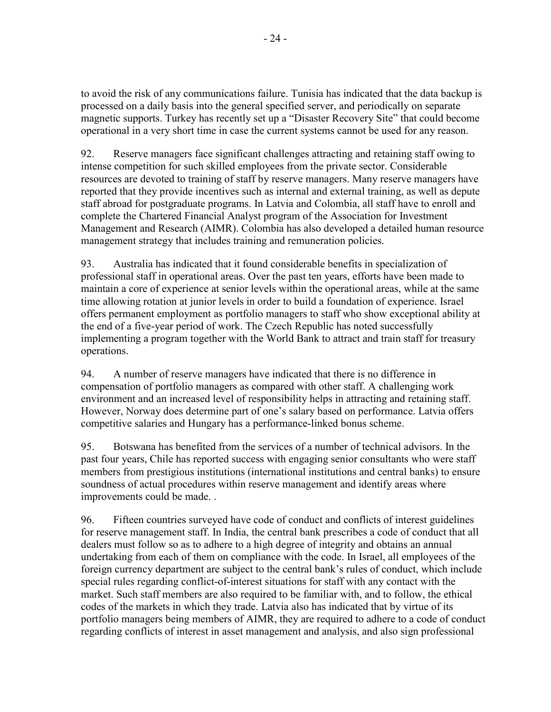to avoid the risk of any communications failure. Tunisia has indicated that the data backup is processed on a daily basis into the general specified server, and periodically on separate magnetic supports. Turkey has recently set up a "Disaster Recovery Site" that could become operational in a very short time in case the current systems cannot be used for any reason.

92. Reserve managers face significant challenges attracting and retaining staff owing to intense competition for such skilled employees from the private sector. Considerable resources are devoted to training of staff by reserve managers. Many reserve managers have reported that they provide incentives such as internal and external training, as well as depute staff abroad for postgraduate programs. In Latvia and Colombia, all staff have to enroll and complete the Chartered Financial Analyst program of the Association for Investment Management and Research (AIMR). Colombia has also developed a detailed human resource management strategy that includes training and remuneration policies.

93. Australia has indicated that it found considerable benefits in specialization of professional staff in operational areas. Over the past ten years, efforts have been made to maintain a core of experience at senior levels within the operational areas, while at the same time allowing rotation at junior levels in order to build a foundation of experience. Israel offers permanent employment as portfolio managers to staff who show exceptional ability at the end of a five-year period of work. The Czech Republic has noted successfully implementing a program together with the World Bank to attract and train staff for treasury operations.

94. A number of reserve managers have indicated that there is no difference in compensation of portfolio managers as compared with other staff. A challenging work environment and an increased level of responsibility helps in attracting and retaining staff. However, Norway does determine part of one's salary based on performance. Latvia offers competitive salaries and Hungary has a performance-linked bonus scheme.

95. Botswana has benefited from the services of a number of technical advisors. In the past four years, Chile has reported success with engaging senior consultants who were staff members from prestigious institutions (international institutions and central banks) to ensure soundness of actual procedures within reserve management and identify areas where improvements could be made. .

96. Fifteen countries surveyed have code of conduct and conflicts of interest guidelines for reserve management staff. In India, the central bank prescribes a code of conduct that all dealers must follow so as to adhere to a high degree of integrity and obtains an annual undertaking from each of them on compliance with the code. In Israel, all employees of the foreign currency department are subject to the central bank's rules of conduct, which include special rules regarding conflict-of-interest situations for staff with any contact with the market. Such staff members are also required to be familiar with, and to follow, the ethical codes of the markets in which they trade. Latvia also has indicated that by virtue of its portfolio managers being members of AIMR, they are required to adhere to a code of conduct regarding conflicts of interest in asset management and analysis, and also sign professional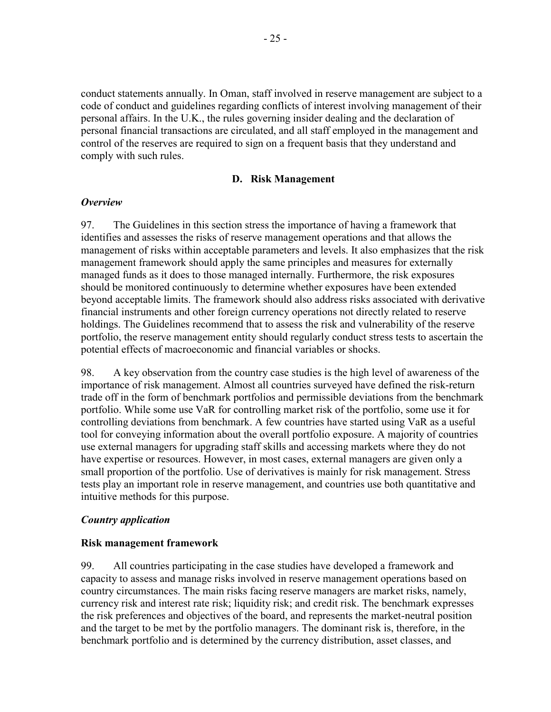conduct statements annually. In Oman, staff involved in reserve management are subject to a code of conduct and guidelines regarding conflicts of interest involving management of their personal affairs. In the U.K., the rules governing insider dealing and the declaration of personal financial transactions are circulated, and all staff employed in the management and control of the reserves are required to sign on a frequent basis that they understand and comply with such rules.

#### **D. Risk Management**

#### *Overview*

97. The Guidelines in this section stress the importance of having a framework that identifies and assesses the risks of reserve management operations and that allows the management of risks within acceptable parameters and levels. It also emphasizes that the risk management framework should apply the same principles and measures for externally managed funds as it does to those managed internally. Furthermore, the risk exposures should be monitored continuously to determine whether exposures have been extended beyond acceptable limits. The framework should also address risks associated with derivative financial instruments and other foreign currency operations not directly related to reserve holdings. The Guidelines recommend that to assess the risk and vulnerability of the reserve portfolio, the reserve management entity should regularly conduct stress tests to ascertain the potential effects of macroeconomic and financial variables or shocks.

98. A key observation from the country case studies is the high level of awareness of the importance of risk management. Almost all countries surveyed have defined the risk-return trade off in the form of benchmark portfolios and permissible deviations from the benchmark portfolio. While some use VaR for controlling market risk of the portfolio, some use it for controlling deviations from benchmark. A few countries have started using VaR as a useful tool for conveying information about the overall portfolio exposure. A majority of countries use external managers for upgrading staff skills and accessing markets where they do not have expertise or resources. However, in most cases, external managers are given only a small proportion of the portfolio. Use of derivatives is mainly for risk management. Stress tests play an important role in reserve management, and countries use both quantitative and intuitive methods for this purpose.

#### *Country application*

#### **Risk management framework**

99. All countries participating in the case studies have developed a framework and capacity to assess and manage risks involved in reserve management operations based on country circumstances. The main risks facing reserve managers are market risks, namely, currency risk and interest rate risk; liquidity risk; and credit risk. The benchmark expresses the risk preferences and objectives of the board, and represents the market-neutral position and the target to be met by the portfolio managers. The dominant risk is, therefore, in the benchmark portfolio and is determined by the currency distribution, asset classes, and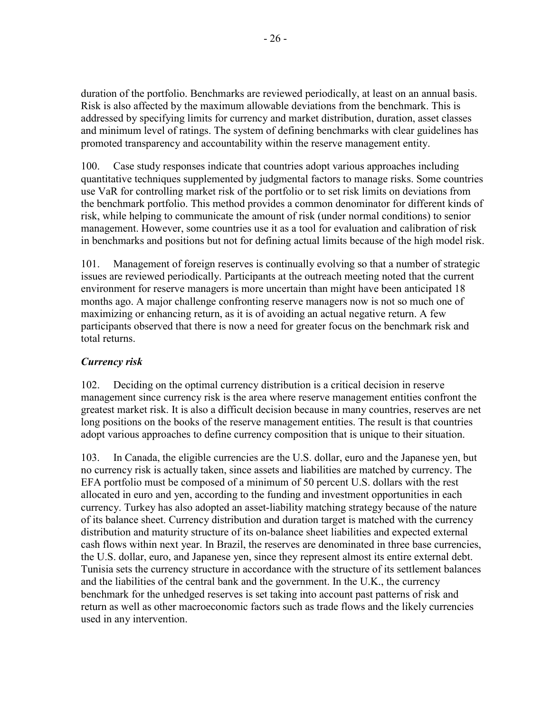duration of the portfolio. Benchmarks are reviewed periodically, at least on an annual basis. Risk is also affected by the maximum allowable deviations from the benchmark. This is addressed by specifying limits for currency and market distribution, duration, asset classes and minimum level of ratings. The system of defining benchmarks with clear guidelines has promoted transparency and accountability within the reserve management entity.

100. Case study responses indicate that countries adopt various approaches including quantitative techniques supplemented by judgmental factors to manage risks. Some countries use VaR for controlling market risk of the portfolio or to set risk limits on deviations from the benchmark portfolio. This method provides a common denominator for different kinds of risk, while helping to communicate the amount of risk (under normal conditions) to senior management. However, some countries use it as a tool for evaluation and calibration of risk in benchmarks and positions but not for defining actual limits because of the high model risk.

101. Management of foreign reserves is continually evolving so that a number of strategic issues are reviewed periodically. Participants at the outreach meeting noted that the current environment for reserve managers is more uncertain than might have been anticipated 18 months ago. A major challenge confronting reserve managers now is not so much one of maximizing or enhancing return, as it is of avoiding an actual negative return. A few participants observed that there is now a need for greater focus on the benchmark risk and total returns.

## *Currency risk*

102. Deciding on the optimal currency distribution is a critical decision in reserve management since currency risk is the area where reserve management entities confront the greatest market risk. It is also a difficult decision because in many countries, reserves are net long positions on the books of the reserve management entities. The result is that countries adopt various approaches to define currency composition that is unique to their situation.

103. In Canada, the eligible currencies are the U.S. dollar, euro and the Japanese yen, but no currency risk is actually taken, since assets and liabilities are matched by currency. The EFA portfolio must be composed of a minimum of 50 percent U.S. dollars with the rest allocated in euro and yen, according to the funding and investment opportunities in each currency. Turkey has also adopted an asset-liability matching strategy because of the nature of its balance sheet. Currency distribution and duration target is matched with the currency distribution and maturity structure of its on-balance sheet liabilities and expected external cash flows within next year. In Brazil, the reserves are denominated in three base currencies, the U.S. dollar, euro, and Japanese yen, since they represent almost its entire external debt. Tunisia sets the currency structure in accordance with the structure of its settlement balances and the liabilities of the central bank and the government. In the U.K., the currency benchmark for the unhedged reserves is set taking into account past patterns of risk and return as well as other macroeconomic factors such as trade flows and the likely currencies used in any intervention.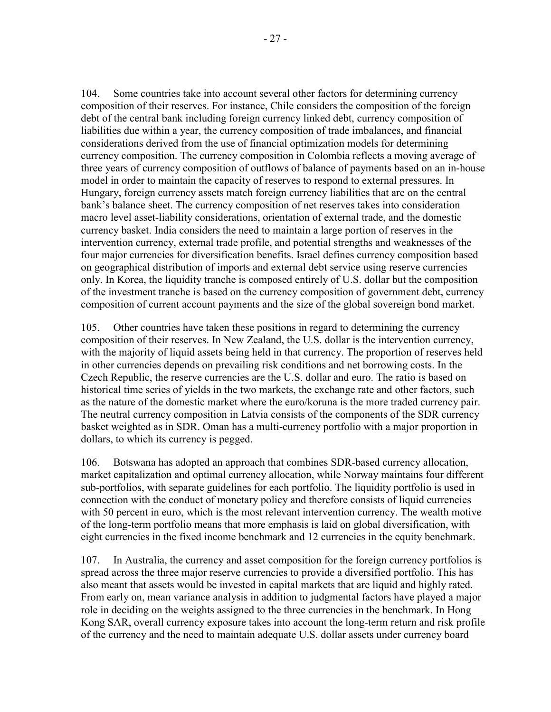104. Some countries take into account several other factors for determining currency composition of their reserves. For instance, Chile considers the composition of the foreign debt of the central bank including foreign currency linked debt, currency composition of liabilities due within a year, the currency composition of trade imbalances, and financial considerations derived from the use of financial optimization models for determining currency composition. The currency composition in Colombia reflects a moving average of three years of currency composition of outflows of balance of payments based on an in-house model in order to maintain the capacity of reserves to respond to external pressures. In Hungary, foreign currency assets match foreign currency liabilities that are on the central bank's balance sheet. The currency composition of net reserves takes into consideration macro level asset-liability considerations, orientation of external trade, and the domestic currency basket. India considers the need to maintain a large portion of reserves in the intervention currency, external trade profile, and potential strengths and weaknesses of the four major currencies for diversification benefits. Israel defines currency composition based on geographical distribution of imports and external debt service using reserve currencies only. In Korea, the liquidity tranche is composed entirely of U.S. dollar but the composition of the investment tranche is based on the currency composition of government debt, currency composition of current account payments and the size of the global sovereign bond market.

105. Other countries have taken these positions in regard to determining the currency composition of their reserves. In New Zealand, the U.S. dollar is the intervention currency, with the majority of liquid assets being held in that currency. The proportion of reserves held in other currencies depends on prevailing risk conditions and net borrowing costs. In the Czech Republic, the reserve currencies are the U.S. dollar and euro. The ratio is based on historical time series of yields in the two markets, the exchange rate and other factors, such as the nature of the domestic market where the euro/koruna is the more traded currency pair. The neutral currency composition in Latvia consists of the components of the SDR currency basket weighted as in SDR. Oman has a multi-currency portfolio with a major proportion in dollars, to which its currency is pegged.

106. Botswana has adopted an approach that combines SDR-based currency allocation, market capitalization and optimal currency allocation, while Norway maintains four different sub-portfolios, with separate guidelines for each portfolio. The liquidity portfolio is used in connection with the conduct of monetary policy and therefore consists of liquid currencies with 50 percent in euro, which is the most relevant intervention currency. The wealth motive of the long-term portfolio means that more emphasis is laid on global diversification, with eight currencies in the fixed income benchmark and 12 currencies in the equity benchmark.

107. In Australia, the currency and asset composition for the foreign currency portfolios is spread across the three major reserve currencies to provide a diversified portfolio. This has also meant that assets would be invested in capital markets that are liquid and highly rated. From early on, mean variance analysis in addition to judgmental factors have played a major role in deciding on the weights assigned to the three currencies in the benchmark. In Hong Kong SAR, overall currency exposure takes into account the long-term return and risk profile of the currency and the need to maintain adequate U.S. dollar assets under currency board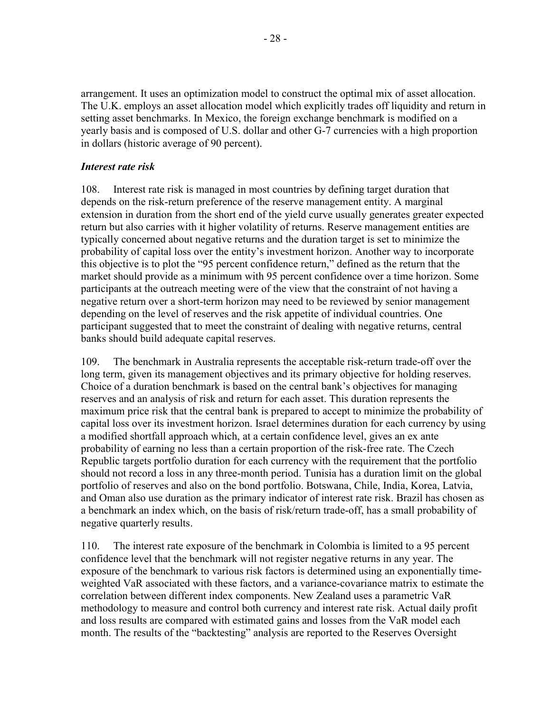arrangement. It uses an optimization model to construct the optimal mix of asset allocation. The U.K. employs an asset allocation model which explicitly trades off liquidity and return in setting asset benchmarks. In Mexico, the foreign exchange benchmark is modified on a yearly basis and is composed of U.S. dollar and other G-7 currencies with a high proportion in dollars (historic average of 90 percent).

#### *Interest rate risk*

108. Interest rate risk is managed in most countries by defining target duration that depends on the risk-return preference of the reserve management entity. A marginal extension in duration from the short end of the yield curve usually generates greater expected return but also carries with it higher volatility of returns. Reserve management entities are typically concerned about negative returns and the duration target is set to minimize the probability of capital loss over the entity's investment horizon. Another way to incorporate this objective is to plot the "95 percent confidence return," defined as the return that the market should provide as a minimum with 95 percent confidence over a time horizon. Some participants at the outreach meeting were of the view that the constraint of not having a negative return over a short-term horizon may need to be reviewed by senior management depending on the level of reserves and the risk appetite of individual countries. One participant suggested that to meet the constraint of dealing with negative returns, central banks should build adequate capital reserves.

109. The benchmark in Australia represents the acceptable risk-return trade-off over the long term, given its management objectives and its primary objective for holding reserves. Choice of a duration benchmark is based on the central bank's objectives for managing reserves and an analysis of risk and return for each asset. This duration represents the maximum price risk that the central bank is prepared to accept to minimize the probability of capital loss over its investment horizon. Israel determines duration for each currency by using a modified shortfall approach which, at a certain confidence level, gives an ex ante probability of earning no less than a certain proportion of the risk-free rate. The Czech Republic targets portfolio duration for each currency with the requirement that the portfolio should not record a loss in any three-month period. Tunisia has a duration limit on the global portfolio of reserves and also on the bond portfolio. Botswana, Chile, India, Korea, Latvia, and Oman also use duration as the primary indicator of interest rate risk. Brazil has chosen as a benchmark an index which, on the basis of risk/return trade-off, has a small probability of negative quarterly results.

110. The interest rate exposure of the benchmark in Colombia is limited to a 95 percent confidence level that the benchmark will not register negative returns in any year. The exposure of the benchmark to various risk factors is determined using an exponentially timeweighted VaR associated with these factors, and a variance-covariance matrix to estimate the correlation between different index components. New Zealand uses a parametric VaR methodology to measure and control both currency and interest rate risk. Actual daily profit and loss results are compared with estimated gains and losses from the VaR model each month. The results of the "backtesting" analysis are reported to the Reserves Oversight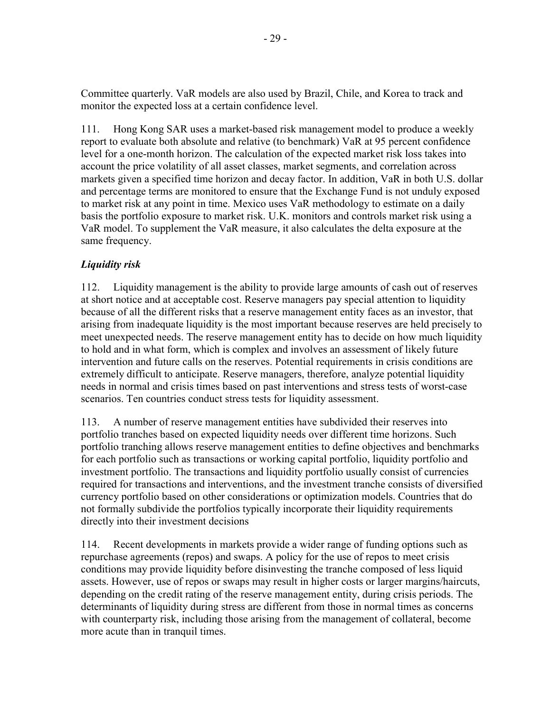Committee quarterly. VaR models are also used by Brazil, Chile, and Korea to track and monitor the expected loss at a certain confidence level.

111. Hong Kong SAR uses a market-based risk management model to produce a weekly report to evaluate both absolute and relative (to benchmark) VaR at 95 percent confidence level for a one-month horizon. The calculation of the expected market risk loss takes into account the price volatility of all asset classes, market segments, and correlation across markets given a specified time horizon and decay factor. In addition, VaR in both U.S. dollar and percentage terms are monitored to ensure that the Exchange Fund is not unduly exposed to market risk at any point in time. Mexico uses VaR methodology to estimate on a daily basis the portfolio exposure to market risk. U.K. monitors and controls market risk using a VaR model. To supplement the VaR measure, it also calculates the delta exposure at the same frequency.

# *Liquidity risk*

112. Liquidity management is the ability to provide large amounts of cash out of reserves at short notice and at acceptable cost. Reserve managers pay special attention to liquidity because of all the different risks that a reserve management entity faces as an investor, that arising from inadequate liquidity is the most important because reserves are held precisely to meet unexpected needs. The reserve management entity has to decide on how much liquidity to hold and in what form, which is complex and involves an assessment of likely future intervention and future calls on the reserves. Potential requirements in crisis conditions are extremely difficult to anticipate. Reserve managers, therefore, analyze potential liquidity needs in normal and crisis times based on past interventions and stress tests of worst-case scenarios. Ten countries conduct stress tests for liquidity assessment.

113. A number of reserve management entities have subdivided their reserves into portfolio tranches based on expected liquidity needs over different time horizons. Such portfolio tranching allows reserve management entities to define objectives and benchmarks for each portfolio such as transactions or working capital portfolio, liquidity portfolio and investment portfolio. The transactions and liquidity portfolio usually consist of currencies required for transactions and interventions, and the investment tranche consists of diversified currency portfolio based on other considerations or optimization models. Countries that do not formally subdivide the portfolios typically incorporate their liquidity requirements directly into their investment decisions

114. Recent developments in markets provide a wider range of funding options such as repurchase agreements (repos) and swaps. A policy for the use of repos to meet crisis conditions may provide liquidity before disinvesting the tranche composed of less liquid assets. However, use of repos or swaps may result in higher costs or larger margins/haircuts, depending on the credit rating of the reserve management entity, during crisis periods. The determinants of liquidity during stress are different from those in normal times as concerns with counterparty risk, including those arising from the management of collateral, become more acute than in tranquil times.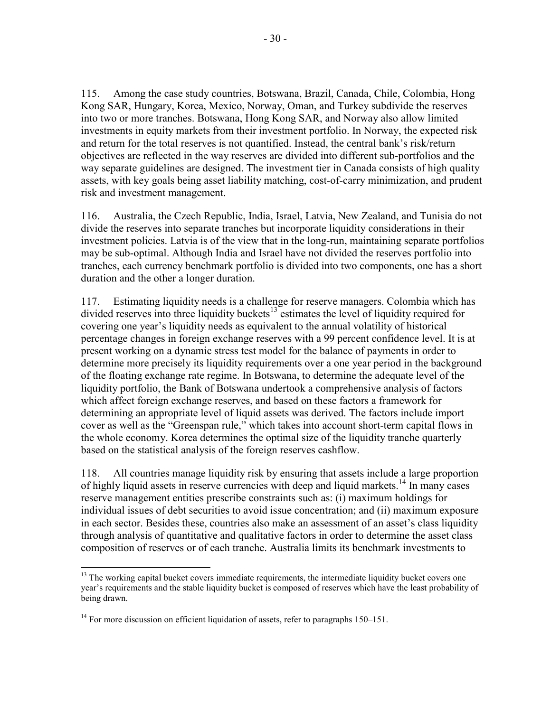115. Among the case study countries, Botswana, Brazil, Canada, Chile, Colombia, Hong Kong SAR, Hungary, Korea, Mexico, Norway, Oman, and Turkey subdivide the reserves into two or more tranches. Botswana, Hong Kong SAR, and Norway also allow limited investments in equity markets from their investment portfolio. In Norway, the expected risk and return for the total reserves is not quantified. Instead, the central bank's risk/return objectives are reflected in the way reserves are divided into different sub-portfolios and the way separate guidelines are designed. The investment tier in Canada consists of high quality assets, with key goals being asset liability matching, cost-of-carry minimization, and prudent risk and investment management.

116. Australia, the Czech Republic, India, Israel, Latvia, New Zealand, and Tunisia do not divide the reserves into separate tranches but incorporate liquidity considerations in their investment policies. Latvia is of the view that in the long-run, maintaining separate portfolios may be sub-optimal. Although India and Israel have not divided the reserves portfolio into tranches, each currency benchmark portfolio is divided into two components, one has a short duration and the other a longer duration.

117. Estimating liquidity needs is a challenge for reserve managers. Colombia which has divided reserves into three liquidity buckets<sup>13</sup> estimates the level of liquidity required for covering one year's liquidity needs as equivalent to the annual volatility of historical percentage changes in foreign exchange reserves with a 99 percent confidence level. It is at present working on a dynamic stress test model for the balance of payments in order to determine more precisely its liquidity requirements over a one year period in the background of the floating exchange rate regime. In Botswana, to determine the adequate level of the liquidity portfolio, the Bank of Botswana undertook a comprehensive analysis of factors which affect foreign exchange reserves, and based on these factors a framework for determining an appropriate level of liquid assets was derived. The factors include import cover as well as the "Greenspan rule," which takes into account short-term capital flows in the whole economy. Korea determines the optimal size of the liquidity tranche quarterly based on the statistical analysis of the foreign reserves cashflow.

118. All countries manage liquidity risk by ensuring that assets include a large proportion of highly liquid assets in reserve currencies with deep and liquid markets.<sup>14</sup> In many cases reserve management entities prescribe constraints such as: (i) maximum holdings for individual issues of debt securities to avoid issue concentration; and (ii) maximum exposure in each sector. Besides these, countries also make an assessment of an asset's class liquidity through analysis of quantitative and qualitative factors in order to determine the asset class composition of reserves or of each tranche. Australia limits its benchmark investments to

 $<sup>13</sup>$  The working capital bucket covers immediate requirements, the intermediate liquidity bucket covers one</sup> year's requirements and the stable liquidity bucket is composed of reserves which have the least probability of being drawn.

 $14$  For more discussion on efficient liquidation of assets, refer to paragraphs 150–151.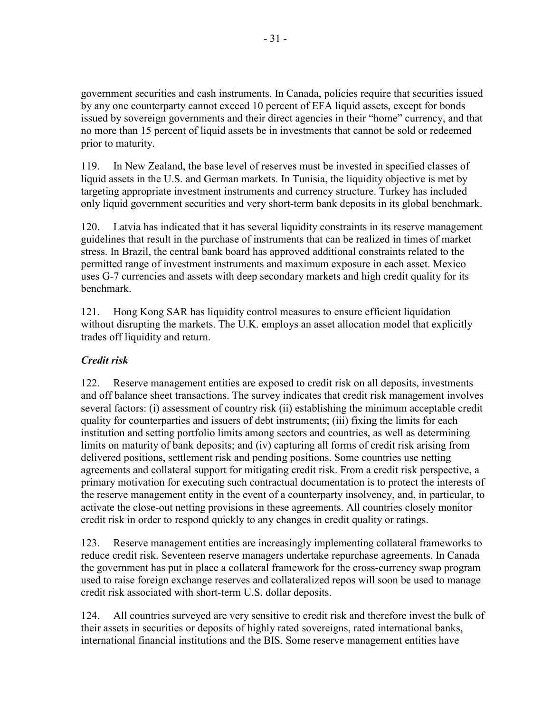government securities and cash instruments. In Canada, policies require that securities issued by any one counterparty cannot exceed 10 percent of EFA liquid assets, except for bonds issued by sovereign governments and their direct agencies in their "home" currency, and that no more than 15 percent of liquid assets be in investments that cannot be sold or redeemed prior to maturity.

119. In New Zealand, the base level of reserves must be invested in specified classes of liquid assets in the U.S. and German markets. In Tunisia, the liquidity objective is met by targeting appropriate investment instruments and currency structure. Turkey has included only liquid government securities and very short-term bank deposits in its global benchmark.

120. Latvia has indicated that it has several liquidity constraints in its reserve management guidelines that result in the purchase of instruments that can be realized in times of market stress. In Brazil, the central bank board has approved additional constraints related to the permitted range of investment instruments and maximum exposure in each asset. Mexico uses G-7 currencies and assets with deep secondary markets and high credit quality for its benchmark.

121. Hong Kong SAR has liquidity control measures to ensure efficient liquidation without disrupting the markets. The U.K. employs an asset allocation model that explicitly trades off liquidity and return.

# *Credit risk*

122. Reserve management entities are exposed to credit risk on all deposits, investments and off balance sheet transactions. The survey indicates that credit risk management involves several factors: (i) assessment of country risk (ii) establishing the minimum acceptable credit quality for counterparties and issuers of debt instruments; (iii) fixing the limits for each institution and setting portfolio limits among sectors and countries, as well as determining limits on maturity of bank deposits; and (iv) capturing all forms of credit risk arising from delivered positions, settlement risk and pending positions. Some countries use netting agreements and collateral support for mitigating credit risk. From a credit risk perspective, a primary motivation for executing such contractual documentation is to protect the interests of the reserve management entity in the event of a counterparty insolvency, and, in particular, to activate the close-out netting provisions in these agreements. All countries closely monitor credit risk in order to respond quickly to any changes in credit quality or ratings.

123. Reserve management entities are increasingly implementing collateral frameworks to reduce credit risk. Seventeen reserve managers undertake repurchase agreements. In Canada the government has put in place a collateral framework for the cross-currency swap program used to raise foreign exchange reserves and collateralized repos will soon be used to manage credit risk associated with short-term U.S. dollar deposits.

124. All countries surveyed are very sensitive to credit risk and therefore invest the bulk of their assets in securities or deposits of highly rated sovereigns, rated international banks, international financial institutions and the BIS. Some reserve management entities have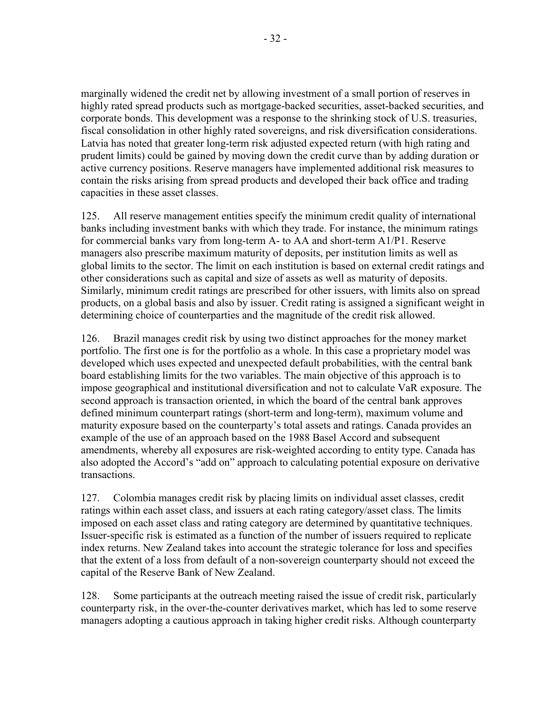$-32$  -

marginally widened the credit net by allowing investment of a small portion of reserves in highly rated spread products such as mortgage-backed securities, asset-backed securities, and corporate bonds. This development was a response to the shrinking stock of U.S. treasuries, fiscal consolidation in other highly rated sovereigns, and risk diversification considerations. Latvia has noted that greater long-term risk adjusted expected return (with high rating and prudent limits) could be gained by moving down the credit curve than by adding duration or active currency positions. Reserve managers have implemented additional risk measures to contain the risks arising from spread products and developed their back office and trading capacities in these asset classes.

125. All reserve management entities specify the minimum credit quality of international banks including investment banks with which they trade. For instance, the minimum ratings for commercial banks vary from long-term A- to AA and short-term A1/P1. Reserve managers also prescribe maximum maturity of deposits, per institution limits as well as global limits to the sector. The limit on each institution is based on external credit ratings and other considerations such as capital and size of assets as well as maturity of deposits. Similarly, minimum credit ratings are prescribed for other issuers, with limits also on spread products, on a global basis and also by issuer. Credit rating is assigned a significant weight in determining choice of counterparties and the magnitude of the credit risk allowed.

126. Brazil manages credit risk by using two distinct approaches for the money market portfolio. The first one is for the portfolio as a whole. In this case a proprietary model was developed which uses expected and unexpected default probabilities, with the central bank board establishing limits for the two variables. The main objective of this approach is to impose geographical and institutional diversification and not to calculate VaR exposure. The second approach is transaction oriented, in which the board of the central bank approves defined minimum counterpart ratings (short-term and long-term), maximum volume and maturity exposure based on the counterparty's total assets and ratings. Canada provides an example of the use of an approach based on the 1988 Basel Accord and subsequent amendments, whereby all exposures are risk-weighted according to entity type. Canada has also adopted the Accord's "add on" approach to calculating potential exposure on derivative transactions.

127. Colombia manages credit risk by placing limits on individual asset classes, credit ratings within each asset class, and issuers at each rating category/asset class. The limits imposed on each asset class and rating category are determined by quantitative techniques. Issuer-specific risk is estimated as a function of the number of issuers required to replicate index returns. New Zealand takes into account the strategic tolerance for loss and specifies that the extent of a loss from default of a non-sovereign counterparty should not exceed the capital of the Reserve Bank of New Zealand.

128. Some participants at the outreach meeting raised the issue of credit risk, particularly counterparty risk, in the over-the-counter derivatives market, which has led to some reserve managers adopting a cautious approach in taking higher credit risks. Although counterparty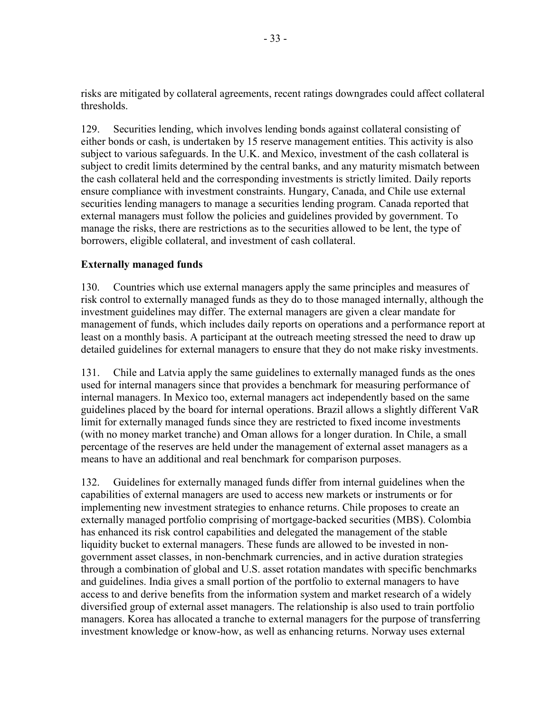risks are mitigated by collateral agreements, recent ratings downgrades could affect collateral thresholds.

129. Securities lending, which involves lending bonds against collateral consisting of either bonds or cash, is undertaken by 15 reserve management entities. This activity is also subject to various safeguards. In the U.K. and Mexico, investment of the cash collateral is subject to credit limits determined by the central banks, and any maturity mismatch between the cash collateral held and the corresponding investments is strictly limited. Daily reports ensure compliance with investment constraints. Hungary, Canada, and Chile use external securities lending managers to manage a securities lending program. Canada reported that external managers must follow the policies and guidelines provided by government. To manage the risks, there are restrictions as to the securities allowed to be lent, the type of borrowers, eligible collateral, and investment of cash collateral.

# **Externally managed funds**

130. Countries which use external managers apply the same principles and measures of risk control to externally managed funds as they do to those managed internally, although the investment guidelines may differ. The external managers are given a clear mandate for management of funds, which includes daily reports on operations and a performance report at least on a monthly basis. A participant at the outreach meeting stressed the need to draw up detailed guidelines for external managers to ensure that they do not make risky investments.

131. Chile and Latvia apply the same guidelines to externally managed funds as the ones used for internal managers since that provides a benchmark for measuring performance of internal managers. In Mexico too, external managers act independently based on the same guidelines placed by the board for internal operations. Brazil allows a slightly different VaR limit for externally managed funds since they are restricted to fixed income investments (with no money market tranche) and Oman allows for a longer duration. In Chile, a small percentage of the reserves are held under the management of external asset managers as a means to have an additional and real benchmark for comparison purposes.

132. Guidelines for externally managed funds differ from internal guidelines when the capabilities of external managers are used to access new markets or instruments or for implementing new investment strategies to enhance returns. Chile proposes to create an externally managed portfolio comprising of mortgage-backed securities (MBS). Colombia has enhanced its risk control capabilities and delegated the management of the stable liquidity bucket to external managers. These funds are allowed to be invested in nongovernment asset classes, in non-benchmark currencies, and in active duration strategies through a combination of global and U.S. asset rotation mandates with specific benchmarks and guidelines. India gives a small portion of the portfolio to external managers to have access to and derive benefits from the information system and market research of a widely diversified group of external asset managers. The relationship is also used to train portfolio managers. Korea has allocated a tranche to external managers for the purpose of transferring investment knowledge or know-how, as well as enhancing returns. Norway uses external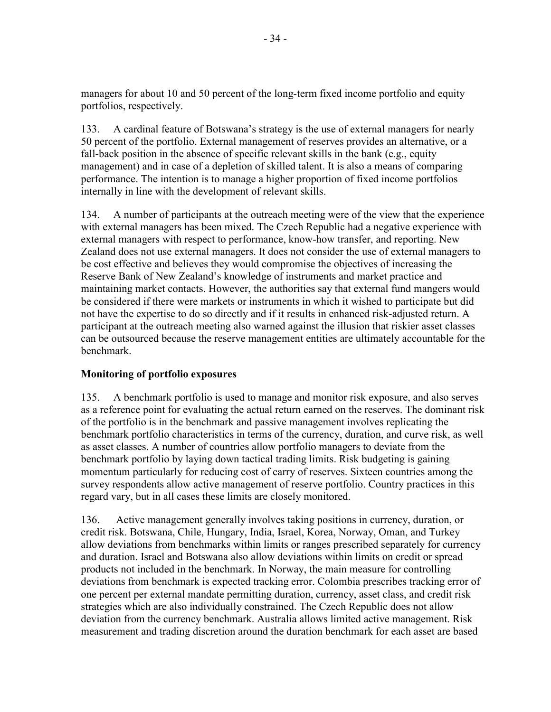managers for about 10 and 50 percent of the long-term fixed income portfolio and equity portfolios, respectively.

133. A cardinal feature of Botswana's strategy is the use of external managers for nearly 50 percent of the portfolio. External management of reserves provides an alternative, or a fall-back position in the absence of specific relevant skills in the bank (e.g., equity management) and in case of a depletion of skilled talent. It is also a means of comparing performance. The intention is to manage a higher proportion of fixed income portfolios internally in line with the development of relevant skills.

134. A number of participants at the outreach meeting were of the view that the experience with external managers has been mixed. The Czech Republic had a negative experience with external managers with respect to performance, know-how transfer, and reporting. New Zealand does not use external managers. It does not consider the use of external managers to be cost effective and believes they would compromise the objectives of increasing the Reserve Bank of New Zealand's knowledge of instruments and market practice and maintaining market contacts. However, the authorities say that external fund mangers would be considered if there were markets or instruments in which it wished to participate but did not have the expertise to do so directly and if it results in enhanced risk-adjusted return. A participant at the outreach meeting also warned against the illusion that riskier asset classes can be outsourced because the reserve management entities are ultimately accountable for the benchmark.

# **Monitoring of portfolio exposures**

135. A benchmark portfolio is used to manage and monitor risk exposure, and also serves as a reference point for evaluating the actual return earned on the reserves. The dominant risk of the portfolio is in the benchmark and passive management involves replicating the benchmark portfolio characteristics in terms of the currency, duration, and curve risk, as well as asset classes. A number of countries allow portfolio managers to deviate from the benchmark portfolio by laying down tactical trading limits. Risk budgeting is gaining momentum particularly for reducing cost of carry of reserves. Sixteen countries among the survey respondents allow active management of reserve portfolio. Country practices in this regard vary, but in all cases these limits are closely monitored.

136. Active management generally involves taking positions in currency, duration, or credit risk. Botswana, Chile, Hungary, India, Israel, Korea, Norway, Oman, and Turkey allow deviations from benchmarks within limits or ranges prescribed separately for currency and duration. Israel and Botswana also allow deviations within limits on credit or spread products not included in the benchmark. In Norway, the main measure for controlling deviations from benchmark is expected tracking error. Colombia prescribes tracking error of one percent per external mandate permitting duration, currency, asset class, and credit risk strategies which are also individually constrained. The Czech Republic does not allow deviation from the currency benchmark. Australia allows limited active management. Risk measurement and trading discretion around the duration benchmark for each asset are based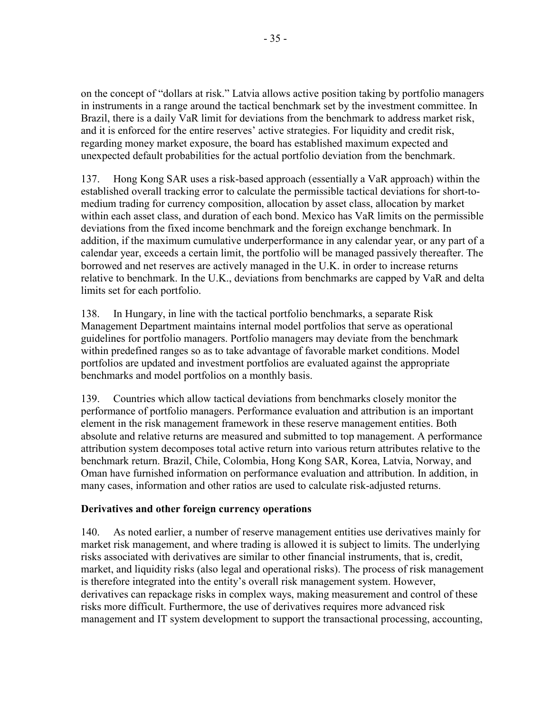on the concept of "dollars at risk." Latvia allows active position taking by portfolio managers in instruments in a range around the tactical benchmark set by the investment committee. In Brazil, there is a daily VaR limit for deviations from the benchmark to address market risk, and it is enforced for the entire reserves' active strategies. For liquidity and credit risk, regarding money market exposure, the board has established maximum expected and unexpected default probabilities for the actual portfolio deviation from the benchmark.

137. Hong Kong SAR uses a risk-based approach (essentially a VaR approach) within the established overall tracking error to calculate the permissible tactical deviations for short-tomedium trading for currency composition, allocation by asset class, allocation by market within each asset class, and duration of each bond. Mexico has VaR limits on the permissible deviations from the fixed income benchmark and the foreign exchange benchmark. In addition, if the maximum cumulative underperformance in any calendar year, or any part of a calendar year, exceeds a certain limit, the portfolio will be managed passively thereafter. The borrowed and net reserves are actively managed in the U.K. in order to increase returns relative to benchmark. In the U.K., deviations from benchmarks are capped by VaR and delta limits set for each portfolio.

138. In Hungary, in line with the tactical portfolio benchmarks, a separate Risk Management Department maintains internal model portfolios that serve as operational guidelines for portfolio managers. Portfolio managers may deviate from the benchmark within predefined ranges so as to take advantage of favorable market conditions. Model portfolios are updated and investment portfolios are evaluated against the appropriate benchmarks and model portfolios on a monthly basis.

139. Countries which allow tactical deviations from benchmarks closely monitor the performance of portfolio managers. Performance evaluation and attribution is an important element in the risk management framework in these reserve management entities. Both absolute and relative returns are measured and submitted to top management. A performance attribution system decomposes total active return into various return attributes relative to the benchmark return. Brazil, Chile, Colombia, Hong Kong SAR, Korea, Latvia, Norway, and Oman have furnished information on performance evaluation and attribution. In addition, in many cases, information and other ratios are used to calculate risk-adjusted returns.

## **Derivatives and other foreign currency operations**

140. As noted earlier, a number of reserve management entities use derivatives mainly for market risk management, and where trading is allowed it is subject to limits. The underlying risks associated with derivatives are similar to other financial instruments, that is, credit, market, and liquidity risks (also legal and operational risks). The process of risk management is therefore integrated into the entity's overall risk management system. However, derivatives can repackage risks in complex ways, making measurement and control of these risks more difficult. Furthermore, the use of derivatives requires more advanced risk management and IT system development to support the transactional processing, accounting,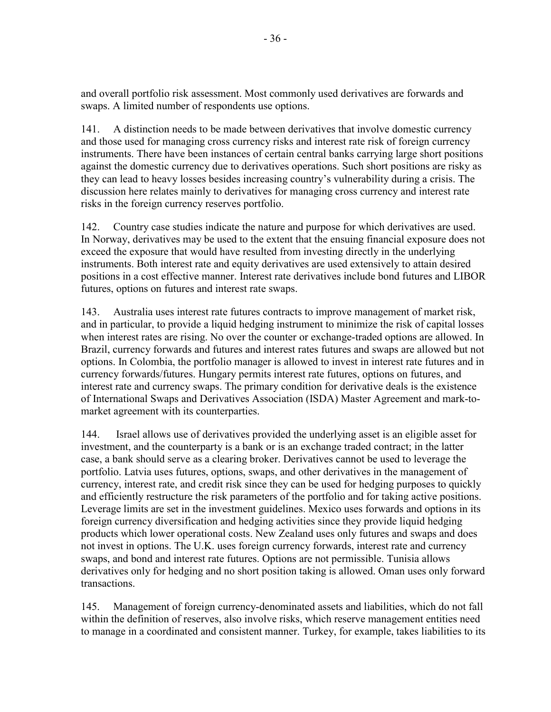and overall portfolio risk assessment. Most commonly used derivatives are forwards and swaps. A limited number of respondents use options.

141. A distinction needs to be made between derivatives that involve domestic currency and those used for managing cross currency risks and interest rate risk of foreign currency instruments. There have been instances of certain central banks carrying large short positions against the domestic currency due to derivatives operations. Such short positions are risky as they can lead to heavy losses besides increasing country's vulnerability during a crisis. The discussion here relates mainly to derivatives for managing cross currency and interest rate risks in the foreign currency reserves portfolio.

142. Country case studies indicate the nature and purpose for which derivatives are used. In Norway, derivatives may be used to the extent that the ensuing financial exposure does not exceed the exposure that would have resulted from investing directly in the underlying instruments. Both interest rate and equity derivatives are used extensively to attain desired positions in a cost effective manner. Interest rate derivatives include bond futures and LIBOR futures, options on futures and interest rate swaps.

143. Australia uses interest rate futures contracts to improve management of market risk, and in particular, to provide a liquid hedging instrument to minimize the risk of capital losses when interest rates are rising. No over the counter or exchange-traded options are allowed. In Brazil, currency forwards and futures and interest rates futures and swaps are allowed but not options. In Colombia, the portfolio manager is allowed to invest in interest rate futures and in currency forwards/futures. Hungary permits interest rate futures, options on futures, and interest rate and currency swaps. The primary condition for derivative deals is the existence of International Swaps and Derivatives Association (ISDA) Master Agreement and mark-tomarket agreement with its counterparties.

144. Israel allows use of derivatives provided the underlying asset is an eligible asset for investment, and the counterparty is a bank or is an exchange traded contract; in the latter case, a bank should serve as a clearing broker. Derivatives cannot be used to leverage the portfolio. Latvia uses futures, options, swaps, and other derivatives in the management of currency, interest rate, and credit risk since they can be used for hedging purposes to quickly and efficiently restructure the risk parameters of the portfolio and for taking active positions. Leverage limits are set in the investment guidelines. Mexico uses forwards and options in its foreign currency diversification and hedging activities since they provide liquid hedging products which lower operational costs. New Zealand uses only futures and swaps and does not invest in options. The U.K. uses foreign currency forwards, interest rate and currency swaps, and bond and interest rate futures. Options are not permissible. Tunisia allows derivatives only for hedging and no short position taking is allowed. Oman uses only forward transactions.

145. Management of foreign currency-denominated assets and liabilities, which do not fall within the definition of reserves, also involve risks, which reserve management entities need to manage in a coordinated and consistent manner. Turkey, for example, takes liabilities to its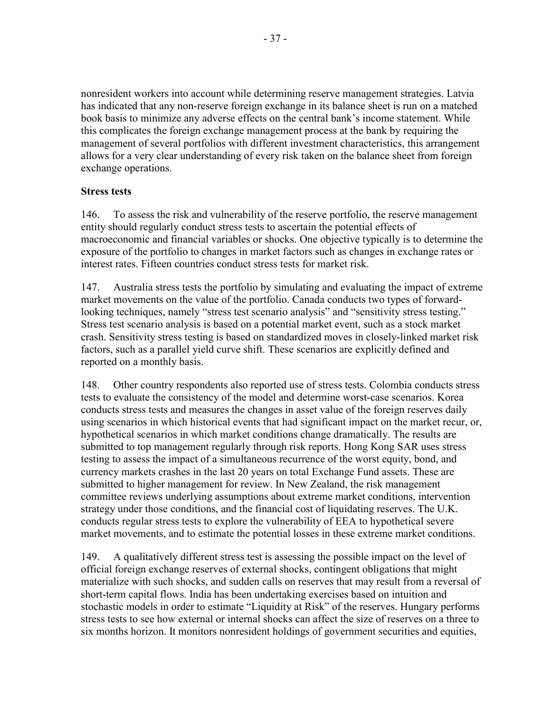nonresident workers into account while determining reserve management strategies. Latvia has indicated that any non-reserve foreign exchange in its balance sheet is run on a matched book basis to minimize any adverse effects on the central bank's income statement. While this complicates the foreign exchange management process at the bank by requiring the management of several portfolios with different investment characteristics, this arrangement allows for a very clear understanding of every risk taken on the balance sheet from foreign exchange operations.

#### **Stress tests**

146. To assess the risk and vulnerability of the reserve portfolio, the reserve management entity should regularly conduct stress tests to ascertain the potential effects of macroeconomic and financial variables or shocks. One objective typically is to determine the exposure of the portfolio to changes in market factors such as changes in exchange rates or interest rates. Fifteen countries conduct stress tests for market risk.

147. Australia stress tests the portfolio by simulating and evaluating the impact of extreme market movements on the value of the portfolio. Canada conducts two types of forwardlooking techniques, namely "stress test scenario analysis" and "sensitivity stress testing." Stress test scenario analysis is based on a potential market event, such as a stock market crash. Sensitivity stress testing is based on standardized moves in closely-linked market risk factors, such as a parallel yield curve shift. These scenarios are explicitly defined and reported on a monthly basis.

148. Other country respondents also reported use of stress tests. Colombia conducts stress tests to evaluate the consistency of the model and determine worst-case scenarios. Korea conducts stress tests and measures the changes in asset value of the foreign reserves daily using scenarios in which historical events that had significant impact on the market recur, or, hypothetical scenarios in which market conditions change dramatically. The results are submitted to top management regularly through risk reports. Hong Kong SAR uses stress testing to assess the impact of a simultaneous recurrence of the worst equity, bond, and currency markets crashes in the last 20 years on total Exchange Fund assets. These are submitted to higher management for review. In New Zealand, the risk management committee reviews underlying assumptions about extreme market conditions, intervention strategy under those conditions, and the financial cost of liquidating reserves. The U.K. conducts regular stress tests to explore the vulnerability of EEA to hypothetical severe market movements, and to estimate the potential losses in these extreme market conditions.

149. A qualitatively different stress test is assessing the possible impact on the level of official foreign exchange reserves of external shocks, contingent obligations that might materialize with such shocks, and sudden calls on reserves that may result from a reversal of short-term capital flows. India has been undertaking exercises based on intuition and stochastic models in order to estimate "Liquidity at Risk" of the reserves. Hungary performs stress tests to see how external or internal shocks can affect the size of reserves on a three to six months horizon. It monitors nonresident holdings of government securities and equities,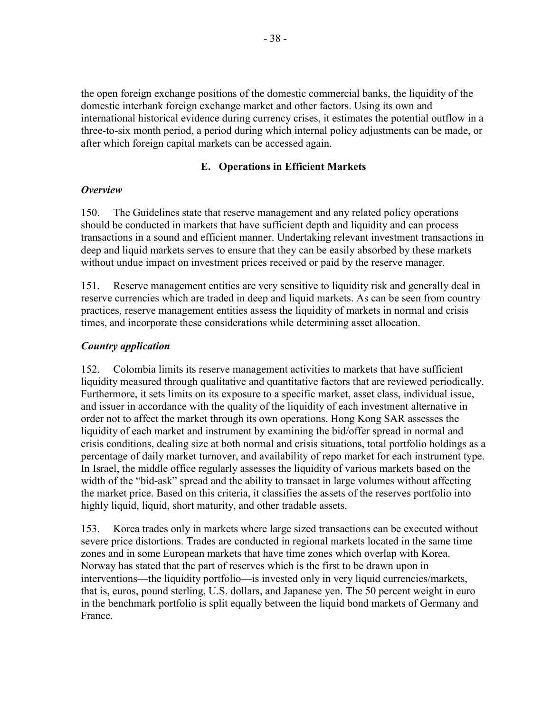the open foreign exchange positions of the domestic commercial banks, the liquidity of the domestic interbank foreign exchange market and other factors. Using its own and international historical evidence during currency crises, it estimates the potential outflow in a three-to-six month period, a period during which internal policy adjustments can be made, or after which foreign capital markets can be accessed again.

## **E. Operations in Efficient Markets**

## *Overview*

150. The Guidelines state that reserve management and any related policy operations should be conducted in markets that have sufficient depth and liquidity and can process transactions in a sound and efficient manner. Undertaking relevant investment transactions in deep and liquid markets serves to ensure that they can be easily absorbed by these markets without undue impact on investment prices received or paid by the reserve manager.

151. Reserve management entities are very sensitive to liquidity risk and generally deal in reserve currencies which are traded in deep and liquid markets. As can be seen from country practices, reserve management entities assess the liquidity of markets in normal and crisis times, and incorporate these considerations while determining asset allocation.

## *Country application*

152. Colombia limits its reserve management activities to markets that have sufficient liquidity measured through qualitative and quantitative factors that are reviewed periodically. Furthermore, it sets limits on its exposure to a specific market, asset class, individual issue, and issuer in accordance with the quality of the liquidity of each investment alternative in order not to affect the market through its own operations. Hong Kong SAR assesses the liquidity of each market and instrument by examining the bid/offer spread in normal and crisis conditions, dealing size at both normal and crisis situations, total portfolio holdings as a percentage of daily market turnover, and availability of repo market for each instrument type. In Israel, the middle office regularly assesses the liquidity of various markets based on the width of the "bid-ask" spread and the ability to transact in large volumes without affecting the market price. Based on this criteria, it classifies the assets of the reserves portfolio into highly liquid, liquid, short maturity, and other tradable assets.

153. Korea trades only in markets where large sized transactions can be executed without severe price distortions. Trades are conducted in regional markets located in the same time zones and in some European markets that have time zones which overlap with Korea. Norway has stated that the part of reserves which is the first to be drawn upon in interventions—the liquidity portfolio—is invested only in very liquid currencies/markets, that is, euros, pound sterling, U.S. dollars, and Japanese yen. The 50 percent weight in euro in the benchmark portfolio is split equally between the liquid bond markets of Germany and France.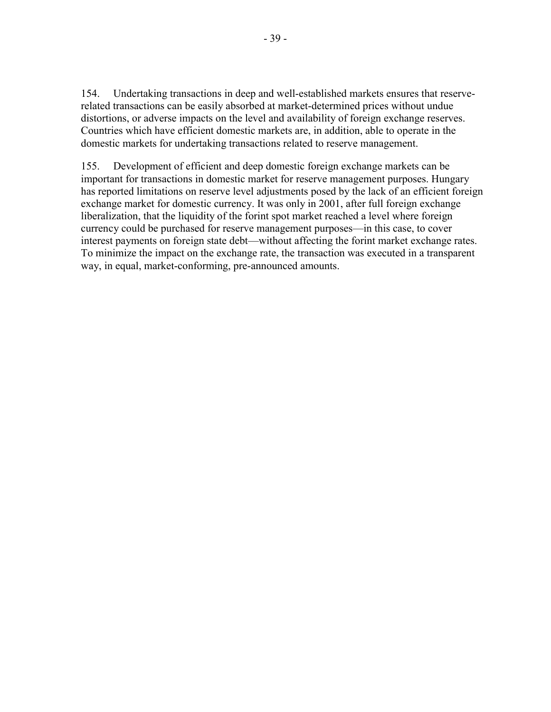154. Undertaking transactions in deep and well-established markets ensures that reserverelated transactions can be easily absorbed at market-determined prices without undue distortions, or adverse impacts on the level and availability of foreign exchange reserves. Countries which have efficient domestic markets are, in addition, able to operate in the domestic markets for undertaking transactions related to reserve management.

155. Development of efficient and deep domestic foreign exchange markets can be important for transactions in domestic market for reserve management purposes. Hungary has reported limitations on reserve level adjustments posed by the lack of an efficient foreign exchange market for domestic currency. It was only in 2001, after full foreign exchange liberalization, that the liquidity of the forint spot market reached a level where foreign currency could be purchased for reserve management purposes—in this case, to cover interest payments on foreign state debt—without affecting the forint market exchange rates. To minimize the impact on the exchange rate, the transaction was executed in a transparent way, in equal, market-conforming, pre-announced amounts.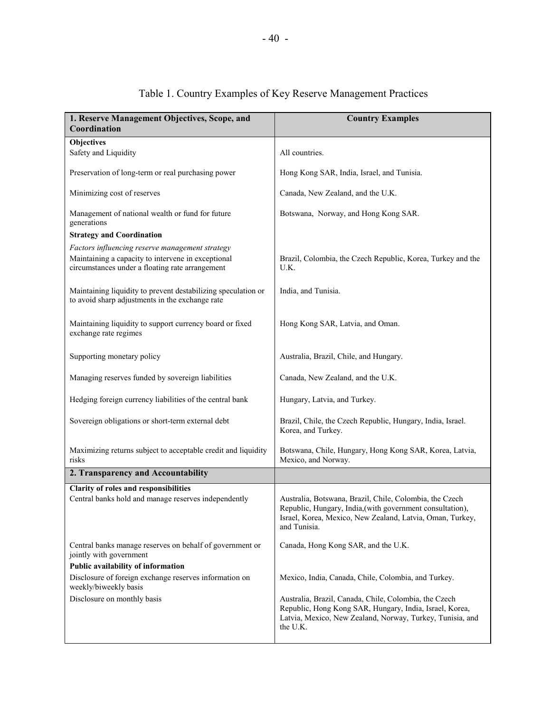| 1. Reserve Management Objectives, Scope, and<br>Coordination                                                                                             | <b>Country Examples</b>                                                                                                                                                                           |
|----------------------------------------------------------------------------------------------------------------------------------------------------------|---------------------------------------------------------------------------------------------------------------------------------------------------------------------------------------------------|
| <b>Objectives</b>                                                                                                                                        |                                                                                                                                                                                                   |
| Safety and Liquidity                                                                                                                                     | All countries.                                                                                                                                                                                    |
| Preservation of long-term or real purchasing power                                                                                                       | Hong Kong SAR, India, Israel, and Tunisia.                                                                                                                                                        |
| Minimizing cost of reserves                                                                                                                              | Canada, New Zealand, and the U.K.                                                                                                                                                                 |
| Management of national wealth or fund for future<br>generations                                                                                          | Botswana, Norway, and Hong Kong SAR.                                                                                                                                                              |
| <b>Strategy and Coordination</b>                                                                                                                         |                                                                                                                                                                                                   |
| Factors influencing reserve management strategy<br>Maintaining a capacity to intervene in exceptional<br>circumstances under a floating rate arrangement | Brazil, Colombia, the Czech Republic, Korea, Turkey and the<br>U.K.                                                                                                                               |
| Maintaining liquidity to prevent destabilizing speculation or<br>to avoid sharp adjustments in the exchange rate                                         | India, and Tunisia.                                                                                                                                                                               |
| Maintaining liquidity to support currency board or fixed<br>exchange rate regimes                                                                        | Hong Kong SAR, Latvia, and Oman.                                                                                                                                                                  |
| Supporting monetary policy                                                                                                                               | Australia, Brazil, Chile, and Hungary.                                                                                                                                                            |
| Managing reserves funded by sovereign liabilities                                                                                                        | Canada, New Zealand, and the U.K.                                                                                                                                                                 |
| Hedging foreign currency liabilities of the central bank                                                                                                 | Hungary, Latvia, and Turkey.                                                                                                                                                                      |
| Sovereign obligations or short-term external debt                                                                                                        | Brazil, Chile, the Czech Republic, Hungary, India, Israel.<br>Korea, and Turkey.                                                                                                                  |
| Maximizing returns subject to acceptable credit and liquidity<br>risks                                                                                   | Botswana, Chile, Hungary, Hong Kong SAR, Korea, Latvia,<br>Mexico, and Norway.                                                                                                                    |
| 2. Transparency and Accountability                                                                                                                       |                                                                                                                                                                                                   |
| Clarity of roles and responsibilities                                                                                                                    |                                                                                                                                                                                                   |
| Central banks hold and manage reserves independently                                                                                                     | Australia, Botswana, Brazil, Chile, Colombia, the Czech<br>Republic, Hungary, India, (with government consultation),<br>Israel, Korea, Mexico, New Zealand, Latvia, Oman, Turkey,<br>and Tunisia. |
| Central banks manage reserves on behalf of government or<br>jointly with government                                                                      | Canada, Hong Kong SAR, and the U.K.                                                                                                                                                               |
| Public availability of information                                                                                                                       |                                                                                                                                                                                                   |
| Disclosure of foreign exchange reserves information on<br>weekly/biweekly basis                                                                          | Mexico, India, Canada, Chile, Colombia, and Turkey.                                                                                                                                               |
| Disclosure on monthly basis                                                                                                                              | Australia, Brazil, Canada, Chile, Colombia, the Czech<br>Republic, Hong Kong SAR, Hungary, India, Israel, Korea,<br>Latvia, Mexico, New Zealand, Norway, Turkey, Tunisia, and<br>the U.K.         |

# Table 1. Country Examples of Key Reserve Management Practices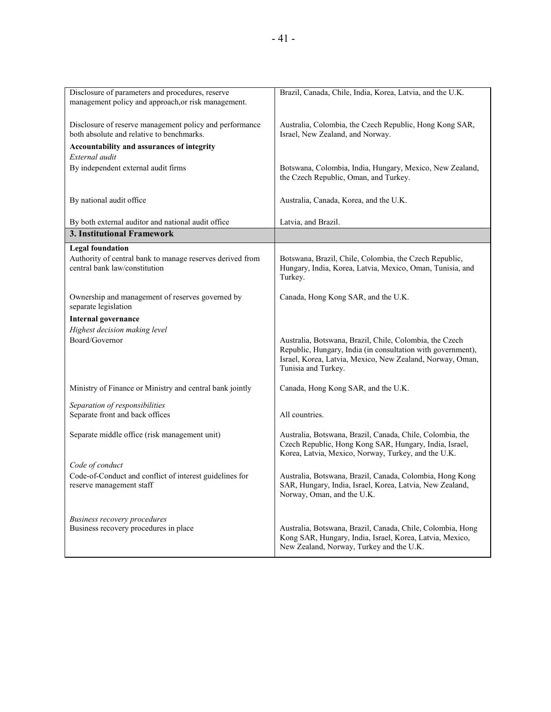| Disclosure of parameters and procedures, reserve                         | Brazil, Canada, Chile, India, Korea, Latvia, and the U.K.   |
|--------------------------------------------------------------------------|-------------------------------------------------------------|
| management policy and approach, or risk management.                      |                                                             |
|                                                                          |                                                             |
| Disclosure of reserve management policy and performance                  | Australia, Colombia, the Czech Republic, Hong Kong SAR,     |
| both absolute and relative to benchmarks.                                | Israel, New Zealand, and Norway.                            |
|                                                                          |                                                             |
| Accountability and assurances of integrity                               |                                                             |
| External audit                                                           |                                                             |
| By independent external audit firms                                      | Botswana, Colombia, India, Hungary, Mexico, New Zealand,    |
|                                                                          | the Czech Republic, Oman, and Turkey.                       |
|                                                                          |                                                             |
| By national audit office                                                 | Australia, Canada, Korea, and the U.K.                      |
|                                                                          |                                                             |
| By both external auditor and national audit office                       | Latvia, and Brazil.                                         |
| 3. Institutional Framework                                               |                                                             |
|                                                                          |                                                             |
| <b>Legal foundation</b>                                                  |                                                             |
| Authority of central bank to manage reserves derived from                | Botswana, Brazil, Chile, Colombia, the Czech Republic,      |
| central bank law/constitution                                            | Hungary, India, Korea, Latvia, Mexico, Oman, Tunisia, and   |
|                                                                          | Turkey.                                                     |
|                                                                          |                                                             |
| Ownership and management of reserves governed by<br>separate legislation | Canada, Hong Kong SAR, and the U.K.                         |
|                                                                          |                                                             |
| <b>Internal governance</b>                                               |                                                             |
| Highest decision making level                                            |                                                             |
| Board/Governor                                                           | Australia, Botswana, Brazil, Chile, Colombia, the Czech     |
|                                                                          | Republic, Hungary, India (in consultation with government), |
|                                                                          | Israel, Korea, Latvia, Mexico, New Zealand, Norway, Oman,   |
|                                                                          | Tunisia and Turkey.                                         |
|                                                                          |                                                             |
| Ministry of Finance or Ministry and central bank jointly                 | Canada, Hong Kong SAR, and the U.K.                         |
| Separation of responsibilities                                           |                                                             |
| Separate front and back offices                                          | All countries.                                              |
|                                                                          |                                                             |
| Separate middle office (risk management unit)                            | Australia, Botswana, Brazil, Canada, Chile, Colombia, the   |
|                                                                          | Czech Republic, Hong Kong SAR, Hungary, India, Israel,      |
|                                                                          | Korea, Latvia, Mexico, Norway, Turkey, and the U.K.         |
| Code of conduct                                                          |                                                             |
| Code-of-Conduct and conflict of interest guidelines for                  | Australia, Botswana, Brazil, Canada, Colombia, Hong Kong    |
| reserve management staff                                                 | SAR, Hungary, India, Israel, Korea, Latvia, New Zealand,    |
|                                                                          | Norway, Oman, and the U.K.                                  |
|                                                                          |                                                             |
|                                                                          |                                                             |
| <b>Business recovery procedures</b>                                      |                                                             |
| Business recovery procedures in place                                    | Australia, Botswana, Brazil, Canada, Chile, Colombia, Hong  |
|                                                                          | Kong SAR, Hungary, India, Israel, Korea, Latvia, Mexico,    |
|                                                                          | New Zealand, Norway, Turkey and the U.K.                    |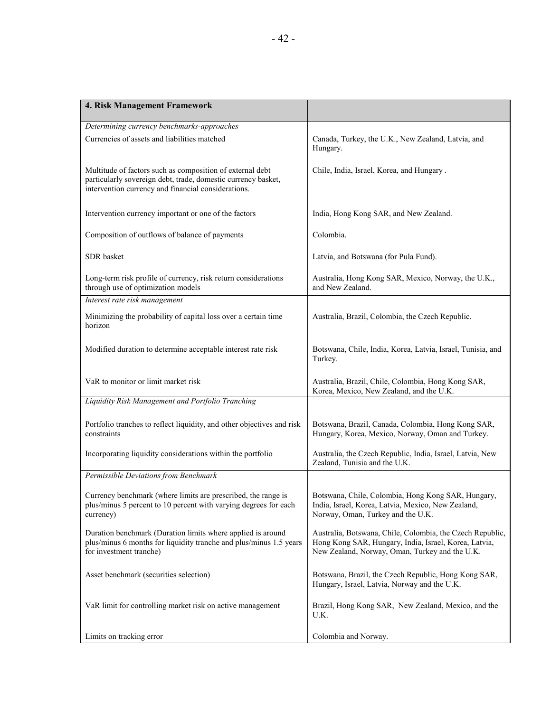| 4. Risk Management Framework                                                                                                                                                      |                                                                                                                                                                      |
|-----------------------------------------------------------------------------------------------------------------------------------------------------------------------------------|----------------------------------------------------------------------------------------------------------------------------------------------------------------------|
| Determining currency benchmarks-approaches                                                                                                                                        |                                                                                                                                                                      |
| Currencies of assets and liabilities matched                                                                                                                                      | Canada, Turkey, the U.K., New Zealand, Latvia, and<br>Hungary.                                                                                                       |
| Multitude of factors such as composition of external debt<br>particularly sovereign debt, trade, domestic currency basket,<br>intervention currency and financial considerations. | Chile, India, Israel, Korea, and Hungary.                                                                                                                            |
| Intervention currency important or one of the factors                                                                                                                             | India, Hong Kong SAR, and New Zealand.                                                                                                                               |
| Composition of outflows of balance of payments                                                                                                                                    | Colombia.                                                                                                                                                            |
| SDR basket                                                                                                                                                                        | Latvia, and Botswana (for Pula Fund).                                                                                                                                |
| Long-term risk profile of currency, risk return considerations<br>through use of optimization models                                                                              | Australia, Hong Kong SAR, Mexico, Norway, the U.K.,<br>and New Zealand.                                                                                              |
| Interest rate risk management                                                                                                                                                     |                                                                                                                                                                      |
| Minimizing the probability of capital loss over a certain time<br>horizon                                                                                                         | Australia, Brazil, Colombia, the Czech Republic.                                                                                                                     |
| Modified duration to determine acceptable interest rate risk                                                                                                                      | Botswana, Chile, India, Korea, Latvia, Israel, Tunisia, and<br>Turkey.                                                                                               |
| VaR to monitor or limit market risk                                                                                                                                               | Australia, Brazil, Chile, Colombia, Hong Kong SAR,<br>Korea, Mexico, New Zealand, and the U.K.                                                                       |
| Liquidity Risk Management and Portfolio Tranching                                                                                                                                 |                                                                                                                                                                      |
| Portfolio tranches to reflect liquidity, and other objectives and risk<br>constraints                                                                                             | Botswana, Brazil, Canada, Colombia, Hong Kong SAR,<br>Hungary, Korea, Mexico, Norway, Oman and Turkey.                                                               |
| Incorporating liquidity considerations within the portfolio                                                                                                                       | Australia, the Czech Republic, India, Israel, Latvia, New<br>Zealand, Tunisia and the U.K.                                                                           |
| Permissible Deviations from Benchmark                                                                                                                                             |                                                                                                                                                                      |
| Currency benchmark (where limits are prescribed, the range is<br>plus/minus 5 percent to 10 percent with varying degrees for each<br>currency)                                    | Botswana, Chile, Colombia, Hong Kong SAR, Hungary,<br>India, Israel, Korea, Latvia, Mexico, New Zealand,<br>Norway, Oman, Turkey and the U.K.                        |
| Duration benchmark (Duration limits where applied is around<br>plus/minus 6 months for liquidity tranche and plus/minus 1.5 years<br>for investment tranche)                      | Australia, Botswana, Chile, Colombia, the Czech Republic,<br>Hong Kong SAR, Hungary, India, Israel, Korea, Latvia,<br>New Zealand, Norway, Oman, Turkey and the U.K. |
| Asset benchmark (securities selection)                                                                                                                                            | Botswana, Brazil, the Czech Republic, Hong Kong SAR,<br>Hungary, Israel, Latvia, Norway and the U.K.                                                                 |
| VaR limit for controlling market risk on active management                                                                                                                        | Brazil, Hong Kong SAR, New Zealand, Mexico, and the<br>U.K.                                                                                                          |
| Limits on tracking error                                                                                                                                                          | Colombia and Norway.                                                                                                                                                 |